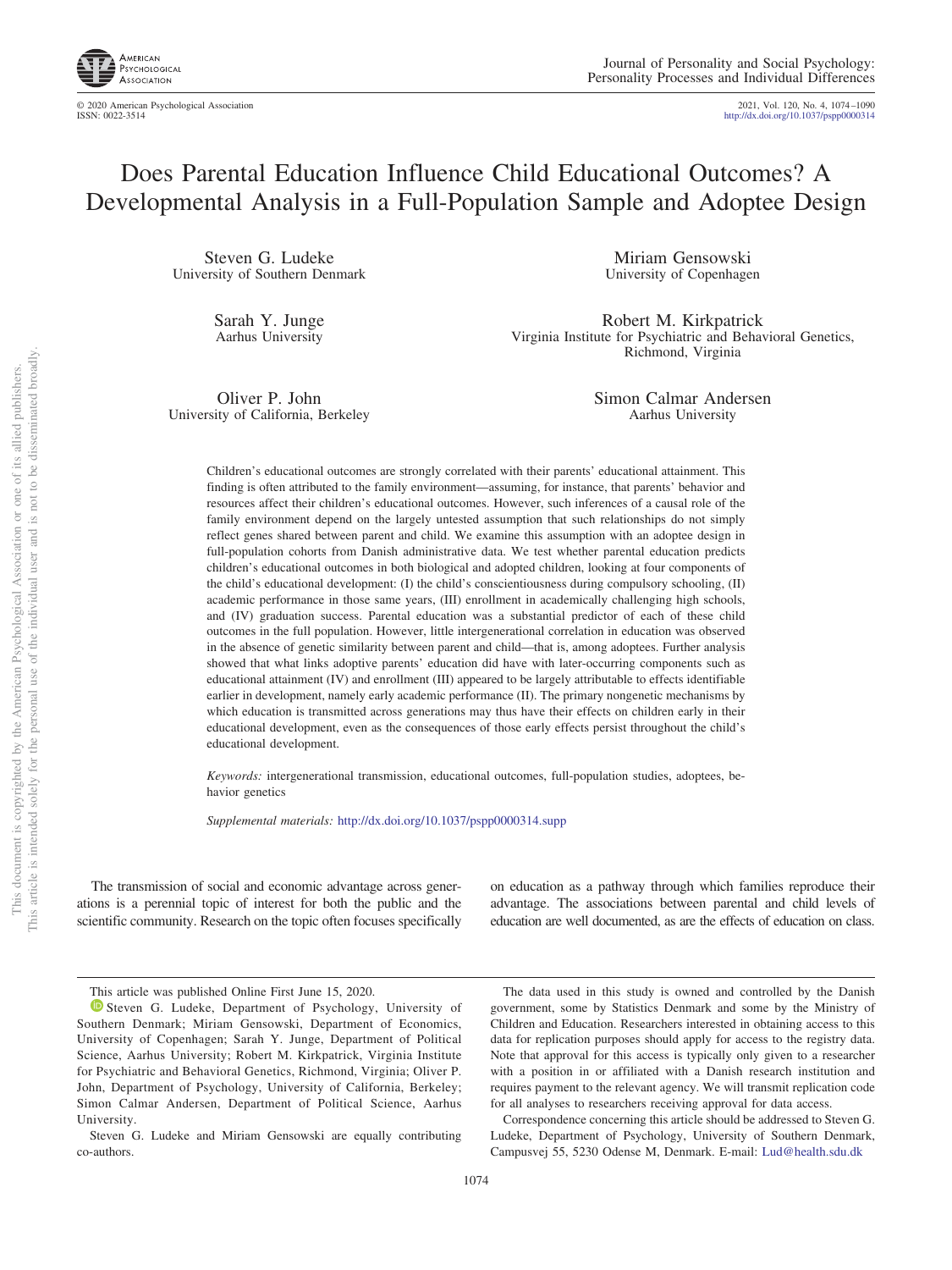

© 2020 American Psychological Association 2021, Vol. 120, No. 4, 1074–1090

ISSN: 0022-3514 http://dx.doi.org/10.1037/pspp0000314

# Does Parental Education Influence Child Educational Outcomes? A Developmental Analysis in a Full-Population Sample and Adoptee Design

Steven G. Ludeke University of Southern Denmark

> Sarah Y. Junge Aarhus University

Miriam Gensowski University of Copenhagen

Robert M. Kirkpatrick Virginia Institute for Psychiatric and Behavioral Genetics, Richmond, Virginia

Oliver P. John University of California, Berkeley Simon Calmar Andersen Aarhus University

Children's educational outcomes are strongly correlated with their parents' educational attainment. This finding is often attributed to the family environment—assuming, for instance, that parents' behavior and resources affect their children's educational outcomes. However, such inferences of a causal role of the family environment depend on the largely untested assumption that such relationships do not simply reflect genes shared between parent and child. We examine this assumption with an adoptee design in full-population cohorts from Danish administrative data. We test whether parental education predicts children's educational outcomes in both biological and adopted children, looking at four components of the child's educational development: (I) the child's conscientiousness during compulsory schooling, (II) academic performance in those same years, (III) enrollment in academically challenging high schools, and (IV) graduation success. Parental education was a substantial predictor of each of these child outcomes in the full population. However, little intergenerational correlation in education was observed in the absence of genetic similarity between parent and child—that is, among adoptees. Further analysis showed that what links adoptive parents' education did have with later-occurring components such as educational attainment (IV) and enrollment (III) appeared to be largely attributable to effects identifiable earlier in development, namely early academic performance (II). The primary nongenetic mechanisms by which education is transmitted across generations may thus have their effects on children early in their educational development, even as the consequences of those early effects persist throughout the child's educational development.

*Keywords:* intergenerational transmission, educational outcomes, full-population studies, adoptees, behavior genetics

*Supplemental materials:* http://dx.doi.org/10.1037/pspp0000314.supp

The transmission of social and economic advantage across generations is a perennial topic of interest for both the public and the scientific community. Research on the topic often focuses specifically on education as a pathway through which families reproduce their advantage. The associations between parental and child levels of education are well documented, as are the effects of education on class.

The data used in this study is owned and controlled by the Danish government, some by Statistics Denmark and some by the Ministry of Children and Education. Researchers interested in obtaining access to this data for replication purposes should apply for access to the registry data. Note that approval for this access is typically only given to a researcher with a position in or affiliated with a Danish research institution and requires payment to the relevant agency. We will transmit replication code for all analyses to researchers receiving approval for data access.

Correspondence concerning this article should be addressed to Steven G. Ludeke, Department of Psychology, University of Southern Denmark, Campusvej 55, 5230 Odense M, Denmark. E-mail: Lud@health.sdu.dk

This article was published Online First June 15, 2020.

**D** Steven G. Ludeke, Department of Psychology, University of Southern Denmark; Miriam Gensowski, Department of Economics, University of Copenhagen; Sarah Y. Junge, Department of Political Science, Aarhus University; Robert M. Kirkpatrick, Virginia Institute for Psychiatric and Behavioral Genetics, Richmond, Virginia; Oliver P. John, Department of Psychology, University of California, Berkeley; Simon Calmar Andersen, Department of Political Science, Aarhus University.

Steven G. Ludeke and Miriam Gensowski are equally contributing co-authors.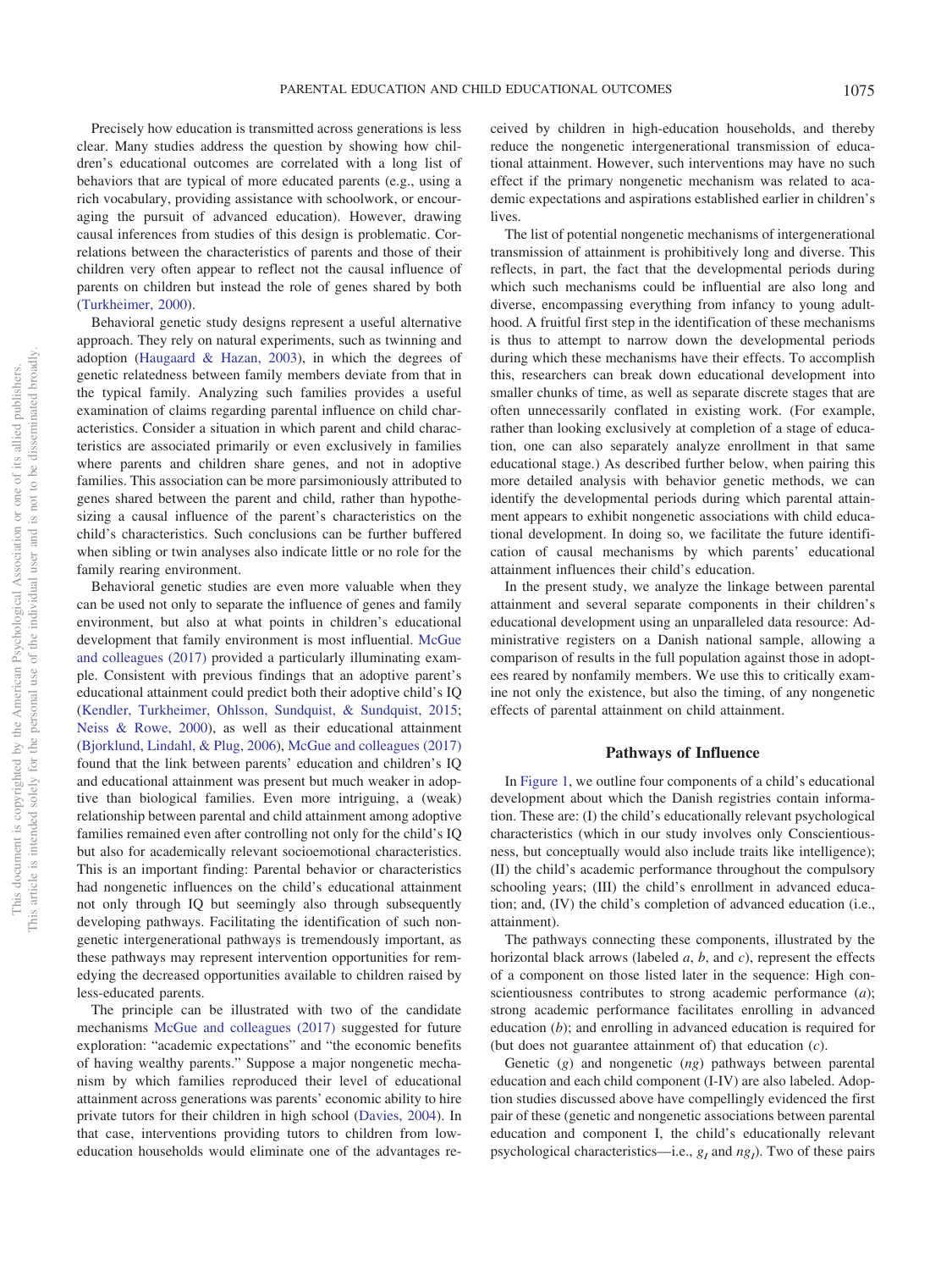Precisely how education is transmitted across generations is less clear. Many studies address the question by showing how children's educational outcomes are correlated with a long list of behaviors that are typical of more educated parents (e.g., using a rich vocabulary, providing assistance with schoolwork, or encouraging the pursuit of advanced education). However, drawing causal inferences from studies of this design is problematic. Correlations between the characteristics of parents and those of their children very often appear to reflect not the causal influence of parents on children but instead the role of genes shared by both (Turkheimer, 2000).

Behavioral genetic study designs represent a useful alternative approach. They rely on natural experiments, such as twinning and adoption (Haugaard & Hazan, 2003), in which the degrees of genetic relatedness between family members deviate from that in the typical family. Analyzing such families provides a useful examination of claims regarding parental influence on child characteristics. Consider a situation in which parent and child characteristics are associated primarily or even exclusively in families where parents and children share genes, and not in adoptive families. This association can be more parsimoniously attributed to genes shared between the parent and child, rather than hypothesizing a causal influence of the parent's characteristics on the child's characteristics. Such conclusions can be further buffered when sibling or twin analyses also indicate little or no role for the family rearing environment.

Behavioral genetic studies are even more valuable when they can be used not only to separate the influence of genes and family environment, but also at what points in children's educational development that family environment is most influential. McGue and colleagues (2017) provided a particularly illuminating example. Consistent with previous findings that an adoptive parent's educational attainment could predict both their adoptive child's IQ (Kendler, Turkheimer, Ohlsson, Sundquist, & Sundquist, 2015; Neiss & Rowe, 2000), as well as their educational attainment (Bjorklund, Lindahl, & Plug, 2006), McGue and colleagues (2017) found that the link between parents' education and children's IQ and educational attainment was present but much weaker in adoptive than biological families. Even more intriguing, a (weak) relationship between parental and child attainment among adoptive families remained even after controlling not only for the child's IQ but also for academically relevant socioemotional characteristics. This is an important finding: Parental behavior or characteristics had nongenetic influences on the child's educational attainment not only through IQ but seemingly also through subsequently developing pathways. Facilitating the identification of such nongenetic intergenerational pathways is tremendously important, as these pathways may represent intervention opportunities for remedying the decreased opportunities available to children raised by less-educated parents.

The principle can be illustrated with two of the candidate mechanisms McGue and colleagues (2017) suggested for future exploration: "academic expectations" and "the economic benefits of having wealthy parents." Suppose a major nongenetic mechanism by which families reproduced their level of educational attainment across generations was parents' economic ability to hire private tutors for their children in high school (Davies, 2004). In that case, interventions providing tutors to children from loweducation households would eliminate one of the advantages received by children in high-education households, and thereby reduce the nongenetic intergenerational transmission of educational attainment. However, such interventions may have no such effect if the primary nongenetic mechanism was related to academic expectations and aspirations established earlier in children's lives.

The list of potential nongenetic mechanisms of intergenerational transmission of attainment is prohibitively long and diverse. This reflects, in part, the fact that the developmental periods during which such mechanisms could be influential are also long and diverse, encompassing everything from infancy to young adulthood. A fruitful first step in the identification of these mechanisms is thus to attempt to narrow down the developmental periods during which these mechanisms have their effects. To accomplish this, researchers can break down educational development into smaller chunks of time, as well as separate discrete stages that are often unnecessarily conflated in existing work. (For example, rather than looking exclusively at completion of a stage of education, one can also separately analyze enrollment in that same educational stage.) As described further below, when pairing this more detailed analysis with behavior genetic methods, we can identify the developmental periods during which parental attainment appears to exhibit nongenetic associations with child educational development. In doing so, we facilitate the future identification of causal mechanisms by which parents' educational attainment influences their child's education.

In the present study, we analyze the linkage between parental attainment and several separate components in their children's educational development using an unparalleled data resource: Administrative registers on a Danish national sample, allowing a comparison of results in the full population against those in adoptees reared by nonfamily members. We use this to critically examine not only the existence, but also the timing, of any nongenetic effects of parental attainment on child attainment.

#### **Pathways of Influence**

In Figure 1, we outline four components of a child's educational development about which the Danish registries contain information. These are: (I) the child's educationally relevant psychological characteristics (which in our study involves only Conscientiousness, but conceptually would also include traits like intelligence); (II) the child's academic performance throughout the compulsory schooling years; (III) the child's enrollment in advanced education; and, (IV) the child's completion of advanced education (i.e., attainment).

The pathways connecting these components, illustrated by the horizontal black arrows (labeled *a*, *b*, and *c*), represent the effects of a component on those listed later in the sequence: High conscientiousness contributes to strong academic performance (*a*); strong academic performance facilitates enrolling in advanced education (*b*); and enrolling in advanced education is required for (but does not guarantee attainment of) that education (*c*).

Genetic (*g*) and nongenetic (*ng*) pathways between parental education and each child component (I-IV) are also labeled. Adoption studies discussed above have compellingly evidenced the first pair of these (genetic and nongenetic associations between parental education and component I, the child's educationally relevant psychological characteristics—i.e., *g<sup>I</sup>* and *ng<sup>I</sup>* ). Two of these pairs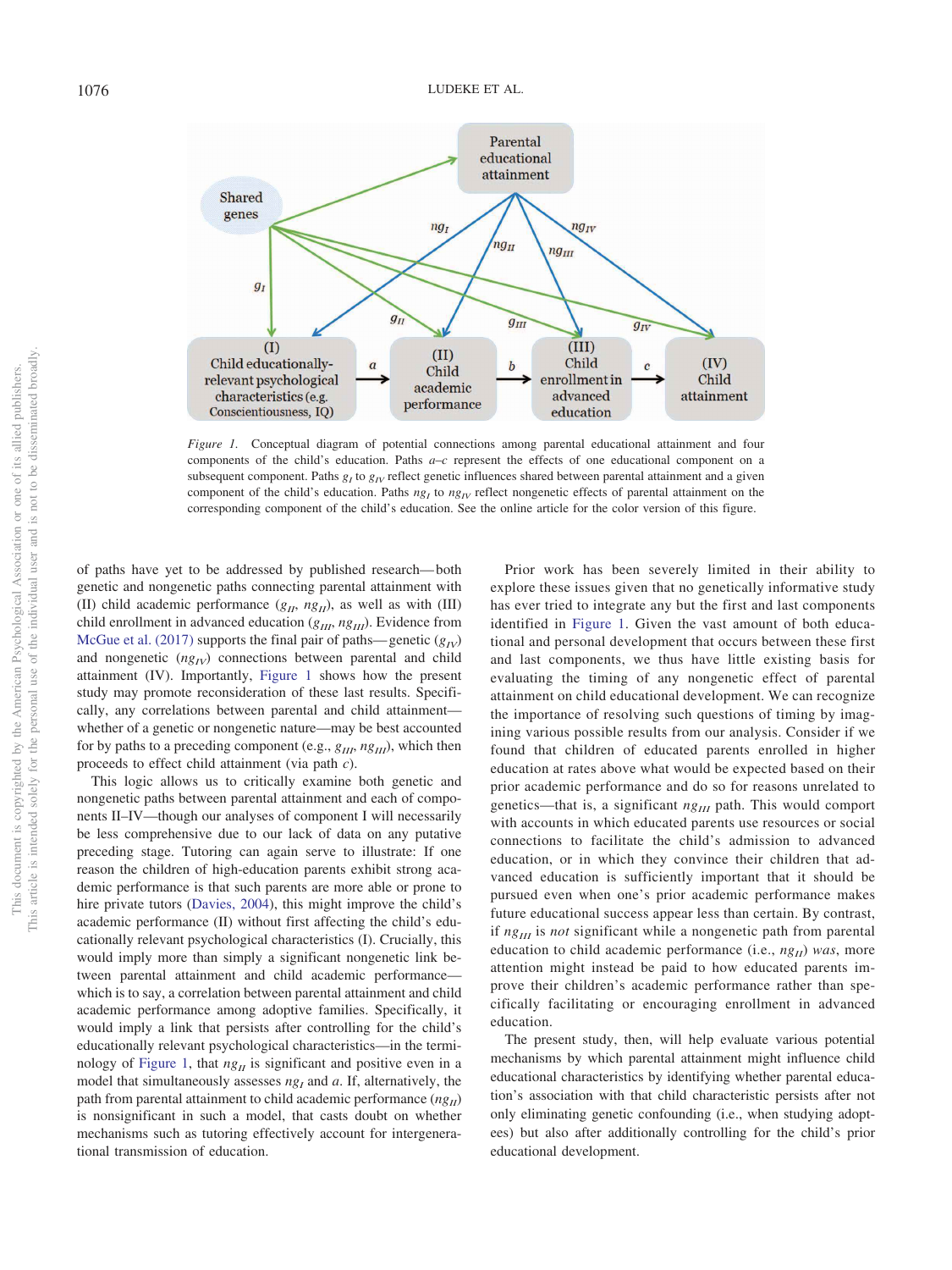

*Figure 1.* Conceptual diagram of potential connections among parental educational attainment and four components of the child's education. Paths *a*–*c* represent the effects of one educational component on a subsequent component. Paths  $g_I$  to  $g_{I}$  reflect genetic influences shared between parental attainment and a given component of the child's education. Paths  $n_{g}$  to  $n_{g}$  reflect nongenetic effects of parental attainment on the corresponding component of the child's education. See the online article for the color version of this figure.

of paths have yet to be addressed by published research—both genetic and nongenetic paths connecting parental attainment with (II) child academic performance  $(g_{II}, ng_{II})$ , as well as with (III) child enrollment in advanced education (*gIII*, *ngIII*). Evidence from McGue et al. (2017) supports the final pair of paths—genetic  $(g_{IV})$ and nongenetic  $(ng_{IV})$  connections between parental and child attainment (IV). Importantly, Figure 1 shows how the present study may promote reconsideration of these last results. Specifically, any correlations between parental and child attainment whether of a genetic or nongenetic nature—may be best accounted for by paths to a preceding component (e.g., *gIII*, *ngIII*), which then proceeds to effect child attainment (via path *c*).

This logic allows us to critically examine both genetic and nongenetic paths between parental attainment and each of components II–IV—though our analyses of component I will necessarily be less comprehensive due to our lack of data on any putative preceding stage. Tutoring can again serve to illustrate: If one reason the children of high-education parents exhibit strong academic performance is that such parents are more able or prone to hire private tutors (Davies, 2004), this might improve the child's academic performance (II) without first affecting the child's educationally relevant psychological characteristics (I). Crucially, this would imply more than simply a significant nongenetic link between parental attainment and child academic performance which is to say, a correlation between parental attainment and child academic performance among adoptive families. Specifically, it would imply a link that persists after controlling for the child's educationally relevant psychological characteristics—in the terminology of Figure 1, that  $ng<sub>H</sub>$  is significant and positive even in a model that simultaneously assesses  $ng<sub>I</sub>$  and  $a$ . If, alternatively, the path from parental attainment to child academic performance  $(ng<sub>H</sub>)$ is nonsignificant in such a model, that casts doubt on whether mechanisms such as tutoring effectively account for intergenerational transmission of education.

Prior work has been severely limited in their ability to explore these issues given that no genetically informative study has ever tried to integrate any but the first and last components identified in Figure 1. Given the vast amount of both educational and personal development that occurs between these first and last components, we thus have little existing basis for evaluating the timing of any nongenetic effect of parental attainment on child educational development. We can recognize the importance of resolving such questions of timing by imagining various possible results from our analysis. Consider if we found that children of educated parents enrolled in higher education at rates above what would be expected based on their prior academic performance and do so for reasons unrelated to genetics—that is, a significant  $ng_{III}$  path. This would comport with accounts in which educated parents use resources or social connections to facilitate the child's admission to advanced education, or in which they convince their children that advanced education is sufficiently important that it should be pursued even when one's prior academic performance makes future educational success appear less than certain. By contrast, if  $ng_{II}$  is *not* significant while a nongenetic path from parental education to child academic performance (i.e., *ngII*) *was*, more attention might instead be paid to how educated parents improve their children's academic performance rather than specifically facilitating or encouraging enrollment in advanced education.

The present study, then, will help evaluate various potential mechanisms by which parental attainment might influence child educational characteristics by identifying whether parental education's association with that child characteristic persists after not only eliminating genetic confounding (i.e., when studying adoptees) but also after additionally controlling for the child's prior educational development.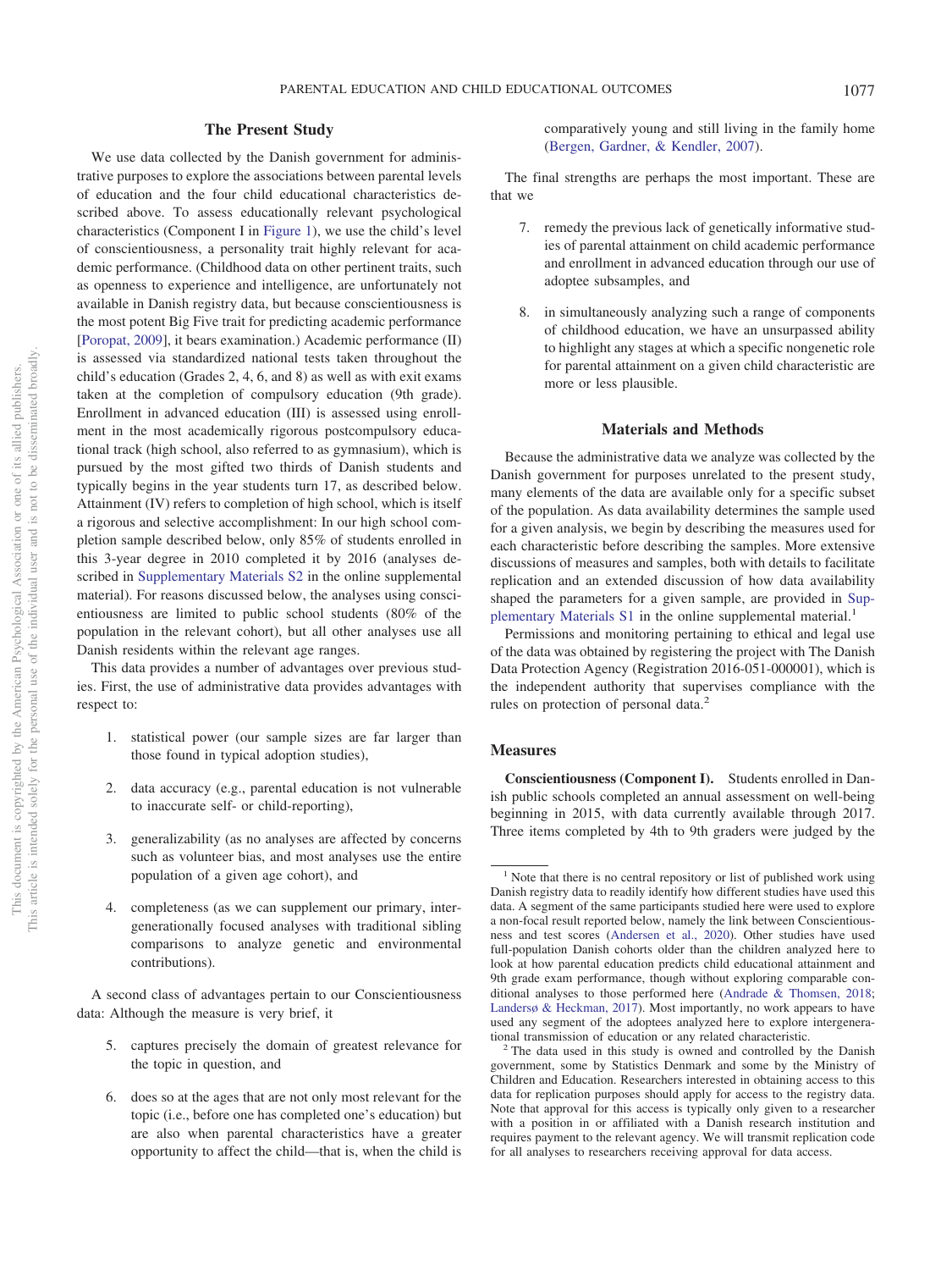# **The Present Study**

We use data collected by the Danish government for administrative purposes to explore the associations between parental levels of education and the four child educational characteristics described above. To assess educationally relevant psychological characteristics (Component I in Figure 1), we use the child's level of conscientiousness, a personality trait highly relevant for academic performance. (Childhood data on other pertinent traits, such as openness to experience and intelligence, are unfortunately not available in Danish registry data, but because conscientiousness is the most potent Big Five trait for predicting academic performance [Poropat, 2009], it bears examination.) Academic performance (II) is assessed via standardized national tests taken throughout the child's education (Grades 2, 4, 6, and 8) as well as with exit exams taken at the completion of compulsory education (9th grade). Enrollment in advanced education (III) is assessed using enrollment in the most academically rigorous postcompulsory educational track (high school, also referred to as gymnasium), which is pursued by the most gifted two thirds of Danish students and typically begins in the year students turn 17, as described below. Attainment (IV) refers to completion of high school, which is itself a rigorous and selective accomplishment: In our high school completion sample described below, only 85% of students enrolled in this 3-year degree in 2010 completed it by 2016 (analyses described in Supplementary Materials S2 in the online supplemental material). For reasons discussed below, the analyses using conscientiousness are limited to public school students (80% of the population in the relevant cohort), but all other analyses use all Danish residents within the relevant age ranges.

This data provides a number of advantages over previous studies. First, the use of administrative data provides advantages with respect to:

- 1. statistical power (our sample sizes are far larger than those found in typical adoption studies),
- 2. data accuracy (e.g., parental education is not vulnerable to inaccurate self- or child-reporting),
- 3. generalizability (as no analyses are affected by concerns such as volunteer bias, and most analyses use the entire population of a given age cohort), and
- 4. completeness (as we can supplement our primary, intergenerationally focused analyses with traditional sibling comparisons to analyze genetic and environmental contributions).

A second class of advantages pertain to our Conscientiousness data: Although the measure is very brief, it

- 5. captures precisely the domain of greatest relevance for the topic in question, and
- 6. does so at the ages that are not only most relevant for the topic (i.e., before one has completed one's education) but are also when parental characteristics have a greater opportunity to affect the child—that is, when the child is

comparatively young and still living in the family home (Bergen, Gardner, & Kendler, 2007).

The final strengths are perhaps the most important. These are that we

- 7. remedy the previous lack of genetically informative studies of parental attainment on child academic performance and enrollment in advanced education through our use of adoptee subsamples, and
- in simultaneously analyzing such a range of components of childhood education, we have an unsurpassed ability to highlight any stages at which a specific nongenetic role for parental attainment on a given child characteristic are more or less plausible.

### **Materials and Methods**

Because the administrative data we analyze was collected by the Danish government for purposes unrelated to the present study, many elements of the data are available only for a specific subset of the population. As data availability determines the sample used for a given analysis, we begin by describing the measures used for each characteristic before describing the samples. More extensive discussions of measures and samples, both with details to facilitate replication and an extended discussion of how data availability shaped the parameters for a given sample, are provided in Supplementary Materials S1 in the online supplemental material.<sup>1</sup>

Permissions and monitoring pertaining to ethical and legal use of the data was obtained by registering the project with The Danish Data Protection Agency (Registration 2016-051-000001), which is the independent authority that supervises compliance with the rules on protection of personal data.<sup>2</sup>

#### **Measures**

**Conscientiousness (Component I).** Students enrolled in Danish public schools completed an annual assessment on well-being beginning in 2015, with data currently available through 2017. Three items completed by 4th to 9th graders were judged by the

 $1$  Note that there is no central repository or list of published work using Danish registry data to readily identify how different studies have used this data. A segment of the same participants studied here were used to explore a non-focal result reported below, namely the link between Conscientiousness and test scores (Andersen et al., 2020). Other studies have used full-population Danish cohorts older than the children analyzed here to look at how parental education predicts child educational attainment and 9th grade exam performance, though without exploring comparable conditional analyses to those performed here (Andrade & Thomsen, 2018; Landersø & Heckman, 2017). Most importantly, no work appears to have used any segment of the adoptees analyzed here to explore intergenerational transmission of education or any related characteristic.

 $2$ <sup>2</sup> The data used in this study is owned and controlled by the Danish government, some by Statistics Denmark and some by the Ministry of Children and Education. Researchers interested in obtaining access to this data for replication purposes should apply for access to the registry data. Note that approval for this access is typically only given to a researcher with a position in or affiliated with a Danish research institution and requires payment to the relevant agency. We will transmit replication code for all analyses to researchers receiving approval for data access.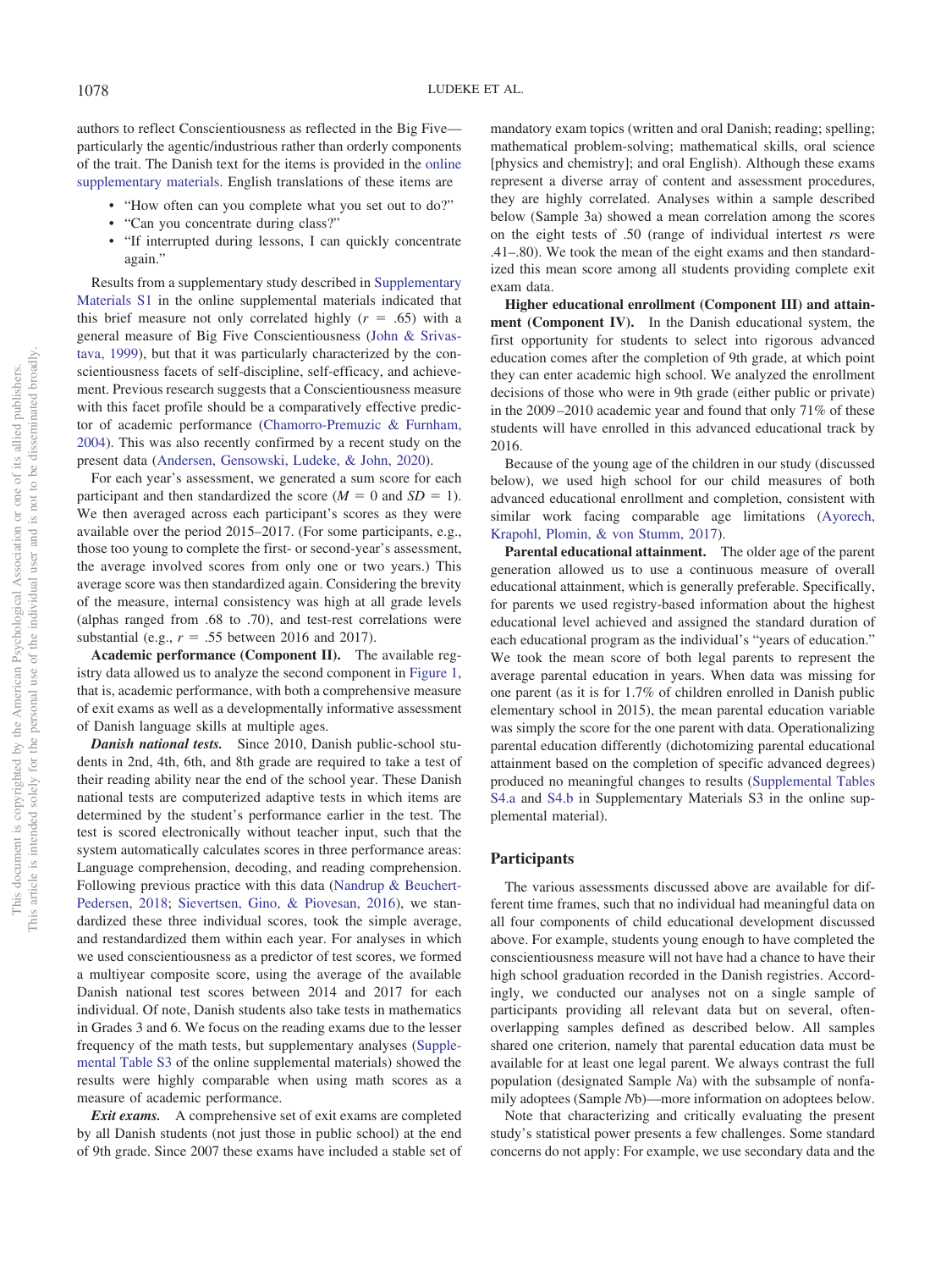authors to reflect Conscientiousness as reflected in the Big Five particularly the agentic/industrious rather than orderly components of the trait. The Danish text for the items is provided in the online supplementary materials. English translations of these items are

- "How often can you complete what you set out to do?"
- "Can you concentrate during class?"
- "If interrupted during lessons, I can quickly concentrate again."

Results from a supplementary study described in Supplementary Materials S1 in the online supplemental materials indicated that this brief measure not only correlated highly  $(r = .65)$  with a general measure of Big Five Conscientiousness (John & Srivastava, 1999), but that it was particularly characterized by the conscientiousness facets of self-discipline, self-efficacy, and achievement. Previous research suggests that a Conscientiousness measure with this facet profile should be a comparatively effective predictor of academic performance (Chamorro-Premuzic & Furnham, 2004). This was also recently confirmed by a recent study on the present data (Andersen, Gensowski, Ludeke, & John, 2020).

For each year's assessment, we generated a sum score for each participant and then standardized the score  $(M = 0 \text{ and } SD = 1)$ . We then averaged across each participant's scores as they were available over the period 2015–2017. (For some participants, e.g., those too young to complete the first- or second-year's assessment, the average involved scores from only one or two years.) This average score was then standardized again. Considering the brevity of the measure, internal consistency was high at all grade levels (alphas ranged from .68 to .70), and test-rest correlations were substantial (e.g.,  $r = .55$  between 2016 and 2017).

**Academic performance (Component II).** The available registry data allowed us to analyze the second component in Figure 1, that is, academic performance, with both a comprehensive measure of exit exams as well as a developmentally informative assessment of Danish language skills at multiple ages.

*Danish national tests.* Since 2010, Danish public-school students in 2nd, 4th, 6th, and 8th grade are required to take a test of their reading ability near the end of the school year. These Danish national tests are computerized adaptive tests in which items are determined by the student's performance earlier in the test. The test is scored electronically without teacher input, such that the system automatically calculates scores in three performance areas: Language comprehension, decoding, and reading comprehension. Following previous practice with this data (Nandrup & Beuchert-Pedersen, 2018; Sievertsen, Gino, & Piovesan, 2016), we standardized these three individual scores, took the simple average, and restandardized them within each year. For analyses in which we used conscientiousness as a predictor of test scores, we formed a multiyear composite score, using the average of the available Danish national test scores between 2014 and 2017 for each individual. Of note, Danish students also take tests in mathematics in Grades 3 and 6. We focus on the reading exams due to the lesser frequency of the math tests, but supplementary analyses (Supplemental Table S3 of the online supplemental materials) showed the results were highly comparable when using math scores as a measure of academic performance.

*Exit exams.* A comprehensive set of exit exams are completed by all Danish students (not just those in public school) at the end of 9th grade. Since 2007 these exams have included a stable set of mandatory exam topics (written and oral Danish; reading; spelling; mathematical problem-solving; mathematical skills, oral science [physics and chemistry]; and oral English). Although these exams represent a diverse array of content and assessment procedures, they are highly correlated. Analyses within a sample described below (Sample 3a) showed a mean correlation among the scores on the eight tests of .50 (range of individual intertest *r*s were .41–.80). We took the mean of the eight exams and then standardized this mean score among all students providing complete exit exam data.

**Higher educational enrollment (Component III) and attainment (Component IV).** In the Danish educational system, the first opportunity for students to select into rigorous advanced education comes after the completion of 9th grade, at which point they can enter academic high school. We analyzed the enrollment decisions of those who were in 9th grade (either public or private) in the 2009–2010 academic year and found that only 71% of these students will have enrolled in this advanced educational track by 2016.

Because of the young age of the children in our study (discussed below), we used high school for our child measures of both advanced educational enrollment and completion, consistent with similar work facing comparable age limitations (Ayorech, Krapohl, Plomin, & von Stumm, 2017).

**Parental educational attainment.** The older age of the parent generation allowed us to use a continuous measure of overall educational attainment, which is generally preferable. Specifically, for parents we used registry-based information about the highest educational level achieved and assigned the standard duration of each educational program as the individual's "years of education." We took the mean score of both legal parents to represent the average parental education in years. When data was missing for one parent (as it is for 1.7% of children enrolled in Danish public elementary school in 2015), the mean parental education variable was simply the score for the one parent with data. Operationalizing parental education differently (dichotomizing parental educational attainment based on the completion of specific advanced degrees) produced no meaningful changes to results (Supplemental Tables S4.a and S4.b in Supplementary Materials S3 in the online supplemental material).

## **Participants**

The various assessments discussed above are available for different time frames, such that no individual had meaningful data on all four components of child educational development discussed above. For example, students young enough to have completed the conscientiousness measure will not have had a chance to have their high school graduation recorded in the Danish registries. Accordingly, we conducted our analyses not on a single sample of participants providing all relevant data but on several, oftenoverlapping samples defined as described below. All samples shared one criterion, namely that parental education data must be available for at least one legal parent. We always contrast the full population (designated Sample *N*a) with the subsample of nonfamily adoptees (Sample *N*b)—more information on adoptees below.

Note that characterizing and critically evaluating the present study's statistical power presents a few challenges. Some standard concerns do not apply: For example, we use secondary data and the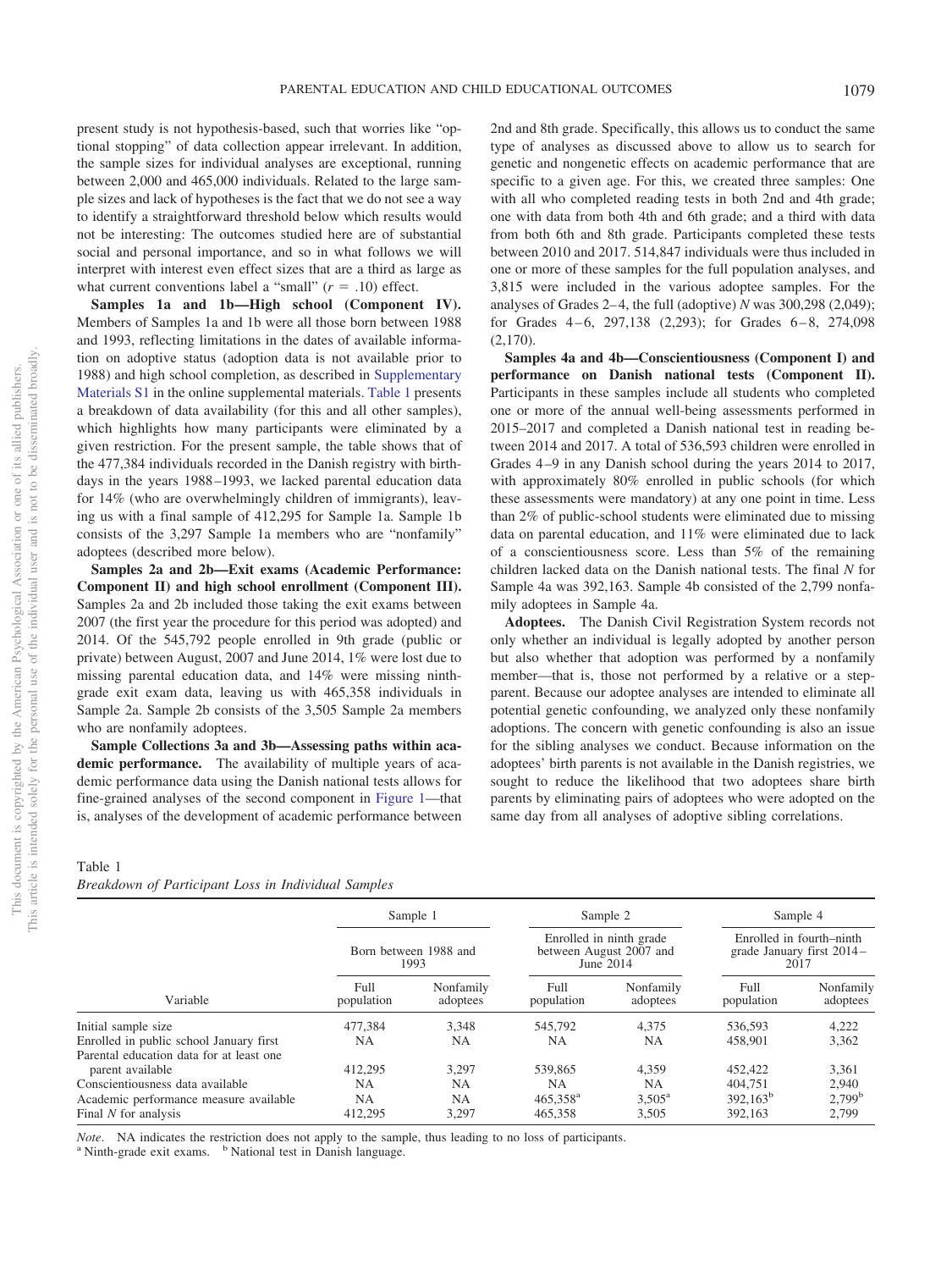one of its allied publishers.

 $\rm \tilde{o}$ 

present study is not hypothesis-based, such that worries like "optional stopping" of data collection appear irrelevant. In addition, the sample sizes for individual analyses are exceptional, running between 2,000 and 465,000 individuals. Related to the large sample sizes and lack of hypotheses is the fact that we do not see a way to identify a straightforward threshold below which results would not be interesting: The outcomes studied here are of substantial social and personal importance, and so in what follows we will interpret with interest even effect sizes that are a third as large as what current conventions label a "small"  $(r = .10)$  effect.

**Samples 1a and 1b—High school (Component IV).** Members of Samples 1a and 1b were all those born between 1988 and 1993, reflecting limitations in the dates of available information on adoptive status (adoption data is not available prior to 1988) and high school completion, as described in Supplementary Materials S1 in the online supplemental materials. Table 1 presents a breakdown of data availability (for this and all other samples), which highlights how many participants were eliminated by a given restriction. For the present sample, the table shows that of the 477,384 individuals recorded in the Danish registry with birthdays in the years 1988–1993, we lacked parental education data for 14% (who are overwhelmingly children of immigrants), leaving us with a final sample of 412,295 for Sample 1a. Sample 1b consists of the 3,297 Sample 1a members who are "nonfamily" adoptees (described more below).

**Samples 2a and 2b—Exit exams (Academic Performance: Component II) and high school enrollment (Component III).** Samples 2a and 2b included those taking the exit exams between 2007 (the first year the procedure for this period was adopted) and 2014. Of the 545,792 people enrolled in 9th grade (public or private) between August, 2007 and June 2014, 1% were lost due to missing parental education data, and 14% were missing ninthgrade exit exam data, leaving us with 465,358 individuals in Sample 2a. Sample 2b consists of the 3,505 Sample 2a members who are nonfamily adoptees.

**Sample Collections 3a and 3b—Assessing paths within academic performance.** The availability of multiple years of academic performance data using the Danish national tests allows for fine-grained analyses of the second component in Figure 1—that is, analyses of the development of academic performance between

#### Table 1

|  |  | Breakdown of Participant Loss in Individual Samples |  |  |  |  |
|--|--|-----------------------------------------------------|--|--|--|--|
|--|--|-----------------------------------------------------|--|--|--|--|

|                                                              |                    | Sample 1                      |                                                                 | Sample 2              |                      | Sample 4                                                      |
|--------------------------------------------------------------|--------------------|-------------------------------|-----------------------------------------------------------------|-----------------------|----------------------|---------------------------------------------------------------|
|                                                              |                    | Born between 1988 and<br>1993 | Enrolled in ninth grade<br>between August 2007 and<br>June 2014 |                       |                      | Enrolled in fourth-ninth<br>grade January first 2014-<br>2017 |
| Variable                                                     | Full<br>population | Nonfamily<br>adoptees         | Full<br>population                                              | Nonfamily<br>adoptees | Full<br>population   | Nonfamily<br>adoptees                                         |
| Initial sample size                                          | 477.384            | 3.348                         | 545,792                                                         | 4.375                 | 536.593              | 4,222                                                         |
| Enrolled in public school January first                      | NΑ                 | NA                            | NA                                                              | NA.                   | 458,901              | 3,362                                                         |
| Parental education data for at least one<br>parent available | 412.295            | 3.297                         | 539,865                                                         | 4,359                 | 452,422              | 3,361                                                         |
| Conscientiousness data available                             | NA                 | NΑ                            | NA                                                              | NA.                   | 404.751              | 2,940                                                         |
| Academic performance measure available                       | NA                 | <b>NA</b>                     | $465.358$ <sup>a</sup>                                          | $3.505^{\rm a}$       | 392.163 <sup>b</sup> | 2,799 <sup>b</sup>                                            |
| Final N for analysis                                         | 412,295            | 3,297                         | 465,358                                                         | 3,505                 | 392,163              | 2,799                                                         |

*Note*. NA indicates the restriction does not apply to the sample, thus leading to no loss of participants.

 $a$  Ninth-grade exit exams.  $b$  National test in Danish language.

2nd and 8th grade. Specifically, this allows us to conduct the same type of analyses as discussed above to allow us to search for genetic and nongenetic effects on academic performance that are specific to a given age. For this, we created three samples: One with all who completed reading tests in both 2nd and 4th grade; one with data from both 4th and 6th grade; and a third with data from both 6th and 8th grade. Participants completed these tests between 2010 and 2017. 514,847 individuals were thus included in one or more of these samples for the full population analyses, and 3,815 were included in the various adoptee samples. For the analyses of Grades 2–4, the full (adoptive) *N* was 300,298 (2,049); for Grades 4–6, 297,138 (2,293); for Grades 6–8, 274,098 (2,170).

**Samples 4a and 4b—Conscientiousness (Component I) and performance on Danish national tests (Component II).** Participants in these samples include all students who completed one or more of the annual well-being assessments performed in 2015–2017 and completed a Danish national test in reading between 2014 and 2017. A total of 536,593 children were enrolled in Grades 4–9 in any Danish school during the years 2014 to 2017, with approximately 80% enrolled in public schools (for which these assessments were mandatory) at any one point in time. Less than 2% of public-school students were eliminated due to missing data on parental education, and 11% were eliminated due to lack of a conscientiousness score. Less than 5% of the remaining children lacked data on the Danish national tests. The final *N* for Sample 4a was 392,163. Sample 4b consisted of the 2,799 nonfamily adoptees in Sample 4a.

**Adoptees.** The Danish Civil Registration System records not only whether an individual is legally adopted by another person but also whether that adoption was performed by a nonfamily member—that is, those not performed by a relative or a stepparent. Because our adoptee analyses are intended to eliminate all potential genetic confounding, we analyzed only these nonfamily adoptions. The concern with genetic confounding is also an issue for the sibling analyses we conduct. Because information on the adoptees' birth parents is not available in the Danish registries, we sought to reduce the likelihood that two adoptees share birth parents by eliminating pairs of adoptees who were adopted on the same day from all analyses of adoptive sibling correlations.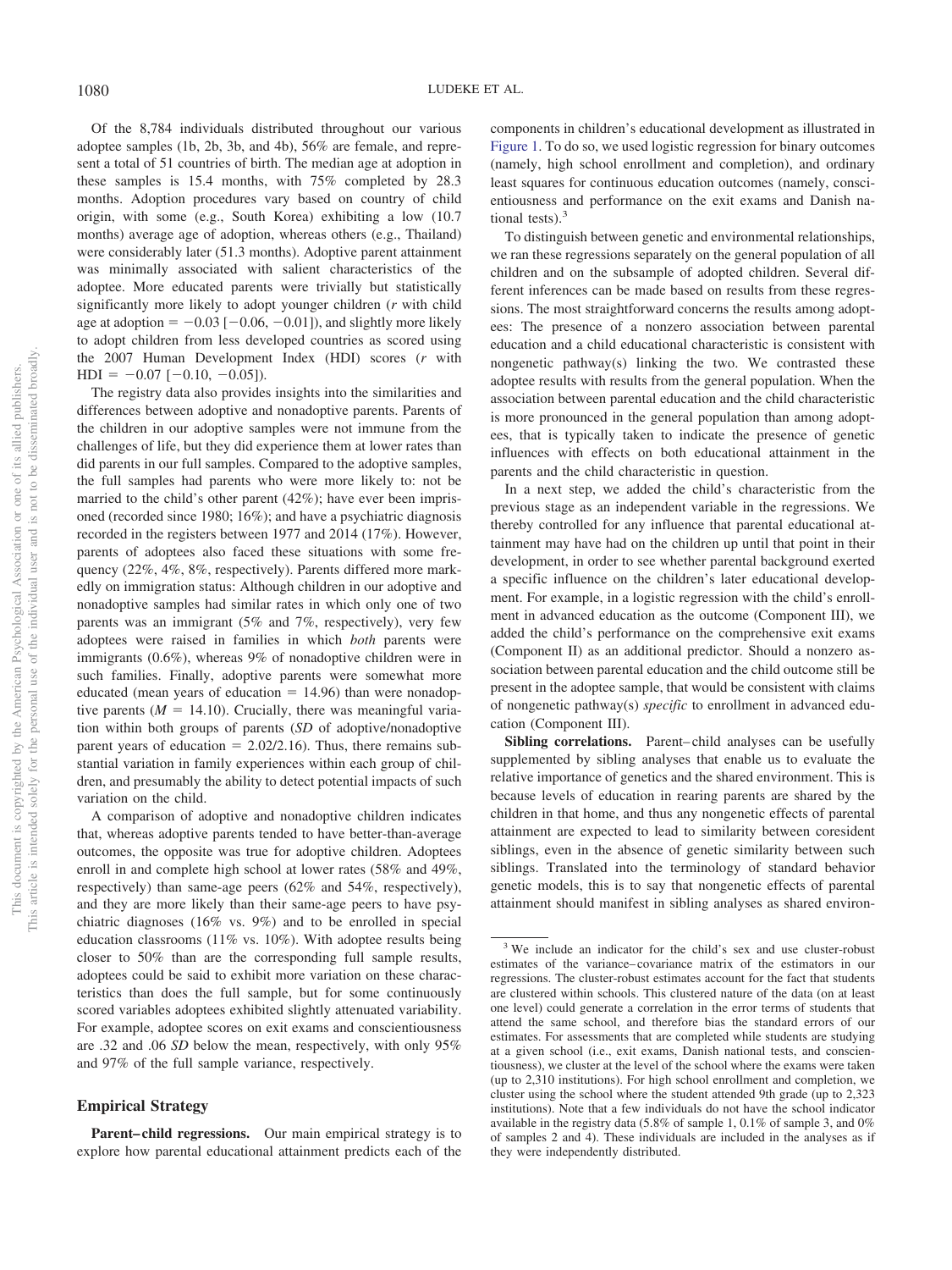Of the 8,784 individuals distributed throughout our various adoptee samples (1b, 2b, 3b, and 4b), 56% are female, and represent a total of 51 countries of birth. The median age at adoption in these samples is 15.4 months, with 75% completed by 28.3 months. Adoption procedures vary based on country of child origin, with some (e.g., South Korea) exhibiting a low (10.7 months) average age of adoption, whereas others (e.g., Thailand) were considerably later (51.3 months). Adoptive parent attainment was minimally associated with salient characteristics of the adoptee. More educated parents were trivially but statistically significantly more likely to adopt younger children (*r* with child age at adoption  $= -0.03$  [ $-0.06, -0.01$ ]), and slightly more likely to adopt children from less developed countries as scored using the 2007 Human Development Index (HDI) scores (*r* with  $HDI = -0.07 [-0.10, -0.05]).$ 

The registry data also provides insights into the similarities and differences between adoptive and nonadoptive parents. Parents of the children in our adoptive samples were not immune from the challenges of life, but they did experience them at lower rates than did parents in our full samples. Compared to the adoptive samples, the full samples had parents who were more likely to: not be married to the child's other parent (42%); have ever been imprisoned (recorded since 1980; 16%); and have a psychiatric diagnosis recorded in the registers between 1977 and 2014 (17%). However, parents of adoptees also faced these situations with some frequency (22%, 4%, 8%, respectively). Parents differed more markedly on immigration status: Although children in our adoptive and nonadoptive samples had similar rates in which only one of two parents was an immigrant (5% and 7%, respectively), very few adoptees were raised in families in which *both* parents were immigrants (0.6%), whereas 9% of nonadoptive children were in such families. Finally, adoptive parents were somewhat more educated (mean years of education  $= 14.96$ ) than were nonadoptive parents  $(M = 14.10)$ . Crucially, there was meaningful variation within both groups of parents (*SD* of adoptive/nonadoptive parent years of education  $= 2.02/2.16$ ). Thus, there remains substantial variation in family experiences within each group of children, and presumably the ability to detect potential impacts of such variation on the child.

A comparison of adoptive and nonadoptive children indicates that, whereas adoptive parents tended to have better-than-average outcomes, the opposite was true for adoptive children. Adoptees enroll in and complete high school at lower rates (58% and 49%, respectively) than same-age peers (62% and 54%, respectively), and they are more likely than their same-age peers to have psychiatric diagnoses (16% vs. 9%) and to be enrolled in special education classrooms (11% vs. 10%). With adoptee results being closer to 50% than are the corresponding full sample results, adoptees could be said to exhibit more variation on these characteristics than does the full sample, but for some continuously scored variables adoptees exhibited slightly attenuated variability. For example, adoptee scores on exit exams and conscientiousness are .32 and .06 *SD* below the mean, respectively, with only 95% and 97% of the full sample variance, respectively.

# **Empirical Strategy**

Parent–child regressions. Our main empirical strategy is to explore how parental educational attainment predicts each of the

components in children's educational development as illustrated in Figure 1. To do so, we used logistic regression for binary outcomes (namely, high school enrollment and completion), and ordinary least squares for continuous education outcomes (namely, conscientiousness and performance on the exit exams and Danish national tests). $3$ 

To distinguish between genetic and environmental relationships, we ran these regressions separately on the general population of all children and on the subsample of adopted children. Several different inferences can be made based on results from these regressions. The most straightforward concerns the results among adoptees: The presence of a nonzero association between parental education and a child educational characteristic is consistent with nongenetic pathway(s) linking the two. We contrasted these adoptee results with results from the general population. When the association between parental education and the child characteristic is more pronounced in the general population than among adoptees, that is typically taken to indicate the presence of genetic influences with effects on both educational attainment in the parents and the child characteristic in question.

In a next step, we added the child's characteristic from the previous stage as an independent variable in the regressions. We thereby controlled for any influence that parental educational attainment may have had on the children up until that point in their development, in order to see whether parental background exerted a specific influence on the children's later educational development. For example, in a logistic regression with the child's enrollment in advanced education as the outcome (Component III), we added the child's performance on the comprehensive exit exams (Component II) as an additional predictor. Should a nonzero association between parental education and the child outcome still be present in the adoptee sample, that would be consistent with claims of nongenetic pathway(s) *specific* to enrollment in advanced education (Component III).

**Sibling correlations.** Parent–child analyses can be usefully supplemented by sibling analyses that enable us to evaluate the relative importance of genetics and the shared environment. This is because levels of education in rearing parents are shared by the children in that home, and thus any nongenetic effects of parental attainment are expected to lead to similarity between coresident siblings, even in the absence of genetic similarity between such siblings. Translated into the terminology of standard behavior genetic models, this is to say that nongenetic effects of parental attainment should manifest in sibling analyses as shared environ-

<sup>&</sup>lt;sup>3</sup> We include an indicator for the child's sex and use cluster-robust estimates of the variance–covariance matrix of the estimators in our regressions. The cluster-robust estimates account for the fact that students are clustered within schools. This clustered nature of the data (on at least one level) could generate a correlation in the error terms of students that attend the same school, and therefore bias the standard errors of our estimates. For assessments that are completed while students are studying at a given school (i.e., exit exams, Danish national tests, and conscientiousness), we cluster at the level of the school where the exams were taken (up to 2,310 institutions). For high school enrollment and completion, we cluster using the school where the student attended 9th grade (up to 2,323 institutions). Note that a few individuals do not have the school indicator available in the registry data (5.8% of sample 1, 0.1% of sample 3, and 0% of samples 2 and 4). These individuals are included in the analyses as if they were independently distributed.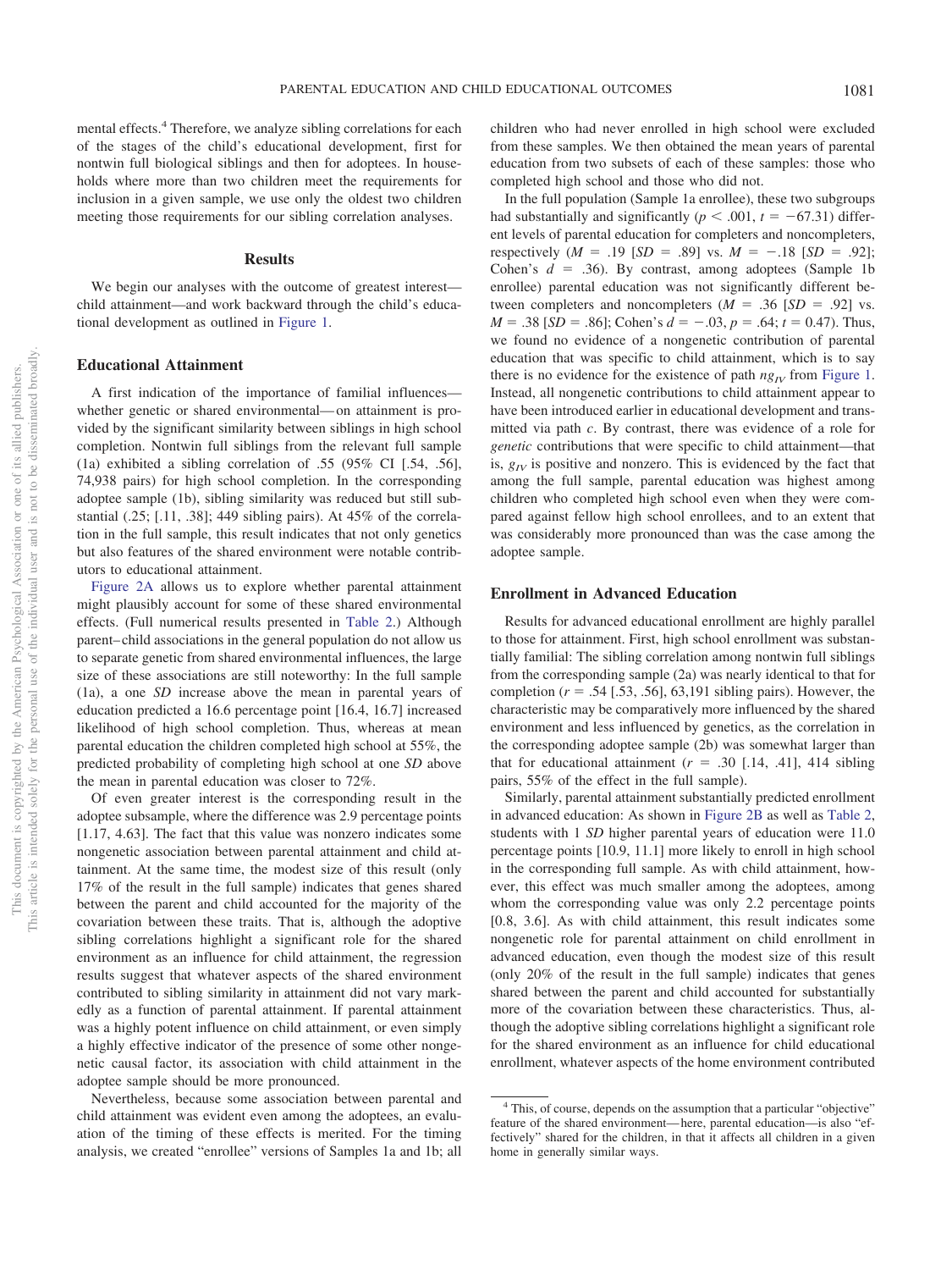mental effects.<sup>4</sup> Therefore, we analyze sibling correlations for each of the stages of the child's educational development, first for nontwin full biological siblings and then for adoptees. In households where more than two children meet the requirements for inclusion in a given sample, we use only the oldest two children meeting those requirements for our sibling correlation analyses.

#### **Results**

We begin our analyses with the outcome of greatest interest child attainment—and work backward through the child's educational development as outlined in Figure 1.

## **Educational Attainment**

A first indication of the importance of familial influences whether genetic or shared environmental—on attainment is provided by the significant similarity between siblings in high school completion. Nontwin full siblings from the relevant full sample (1a) exhibited a sibling correlation of .55 (95% CI [.54, .56], 74,938 pairs) for high school completion. In the corresponding adoptee sample (1b), sibling similarity was reduced but still substantial  $(.25; [.11, .38]; 449$  sibling pairs). At  $45\%$  of the correlation in the full sample, this result indicates that not only genetics but also features of the shared environment were notable contributors to educational attainment.

Figure 2A allows us to explore whether parental attainment might plausibly account for some of these shared environmental effects. (Full numerical results presented in Table 2.) Although parent–child associations in the general population do not allow us to separate genetic from shared environmental influences, the large size of these associations are still noteworthy: In the full sample (1a), a one *SD* increase above the mean in parental years of education predicted a 16.6 percentage point [16.4, 16.7] increased likelihood of high school completion. Thus, whereas at mean parental education the children completed high school at 55%, the predicted probability of completing high school at one *SD* above the mean in parental education was closer to 72%.

Of even greater interest is the corresponding result in the adoptee subsample, where the difference was 2.9 percentage points [1.17, 4.63]. The fact that this value was nonzero indicates some nongenetic association between parental attainment and child attainment. At the same time, the modest size of this result (only 17% of the result in the full sample) indicates that genes shared between the parent and child accounted for the majority of the covariation between these traits. That is, although the adoptive sibling correlations highlight a significant role for the shared environment as an influence for child attainment, the regression results suggest that whatever aspects of the shared environment contributed to sibling similarity in attainment did not vary markedly as a function of parental attainment. If parental attainment was a highly potent influence on child attainment, or even simply a highly effective indicator of the presence of some other nongenetic causal factor, its association with child attainment in the adoptee sample should be more pronounced.

Nevertheless, because some association between parental and child attainment was evident even among the adoptees, an evaluation of the timing of these effects is merited. For the timing analysis, we created "enrollee" versions of Samples 1a and 1b; all children who had never enrolled in high school were excluded from these samples. We then obtained the mean years of parental education from two subsets of each of these samples: those who completed high school and those who did not.

In the full population (Sample 1a enrollee), these two subgroups had substantially and significantly ( $p < .001$ ,  $t = -67.31$ ) different levels of parental education for completers and noncompleters, respectively  $(M = .19 [SD = .89]$  vs.  $M = -.18 [SD = .92]$ ; Cohen's  $d = .36$ ). By contrast, among adoptees (Sample 1b) enrollee) parental education was not significantly different between completers and noncompleters  $(M = .36$  [*SD* = .92] vs.  $M = .38$  [*SD* = .86]; Cohen's  $d = -.03$ ,  $p = .64$ ;  $t = 0.47$ ). Thus, we found no evidence of a nongenetic contribution of parental education that was specific to child attainment, which is to say there is no evidence for the existence of path  $ng<sub>IV</sub>$  from Figure 1. Instead, all nongenetic contributions to child attainment appear to have been introduced earlier in educational development and transmitted via path *c*. By contrast, there was evidence of a role for *genetic* contributions that were specific to child attainment—that is,  $g_{IV}$  is positive and nonzero. This is evidenced by the fact that among the full sample, parental education was highest among children who completed high school even when they were compared against fellow high school enrollees, and to an extent that was considerably more pronounced than was the case among the adoptee sample.

## **Enrollment in Advanced Education**

Results for advanced educational enrollment are highly parallel to those for attainment. First, high school enrollment was substantially familial: The sibling correlation among nontwin full siblings from the corresponding sample (2a) was nearly identical to that for completion  $(r = .54$  [.53, .56], 63,191 sibling pairs). However, the characteristic may be comparatively more influenced by the shared environment and less influenced by genetics, as the correlation in the corresponding adoptee sample (2b) was somewhat larger than that for educational attainment  $(r = .30$  [.14, .41], 414 sibling pairs, 55% of the effect in the full sample).

Similarly, parental attainment substantially predicted enrollment in advanced education: As shown in Figure 2B as well as Table 2, students with 1 *SD* higher parental years of education were 11.0 percentage points [10.9, 11.1] more likely to enroll in high school in the corresponding full sample. As with child attainment, however, this effect was much smaller among the adoptees, among whom the corresponding value was only 2.2 percentage points [0.8, 3.6]. As with child attainment, this result indicates some nongenetic role for parental attainment on child enrollment in advanced education, even though the modest size of this result (only 20% of the result in the full sample) indicates that genes shared between the parent and child accounted for substantially more of the covariation between these characteristics. Thus, although the adoptive sibling correlations highlight a significant role for the shared environment as an influence for child educational enrollment, whatever aspects of the home environment contributed

<sup>&</sup>lt;sup>4</sup> This, of course, depends on the assumption that a particular "objective" feature of the shared environment—here, parental education—is also "effectively" shared for the children, in that it affects all children in a given home in generally similar ways.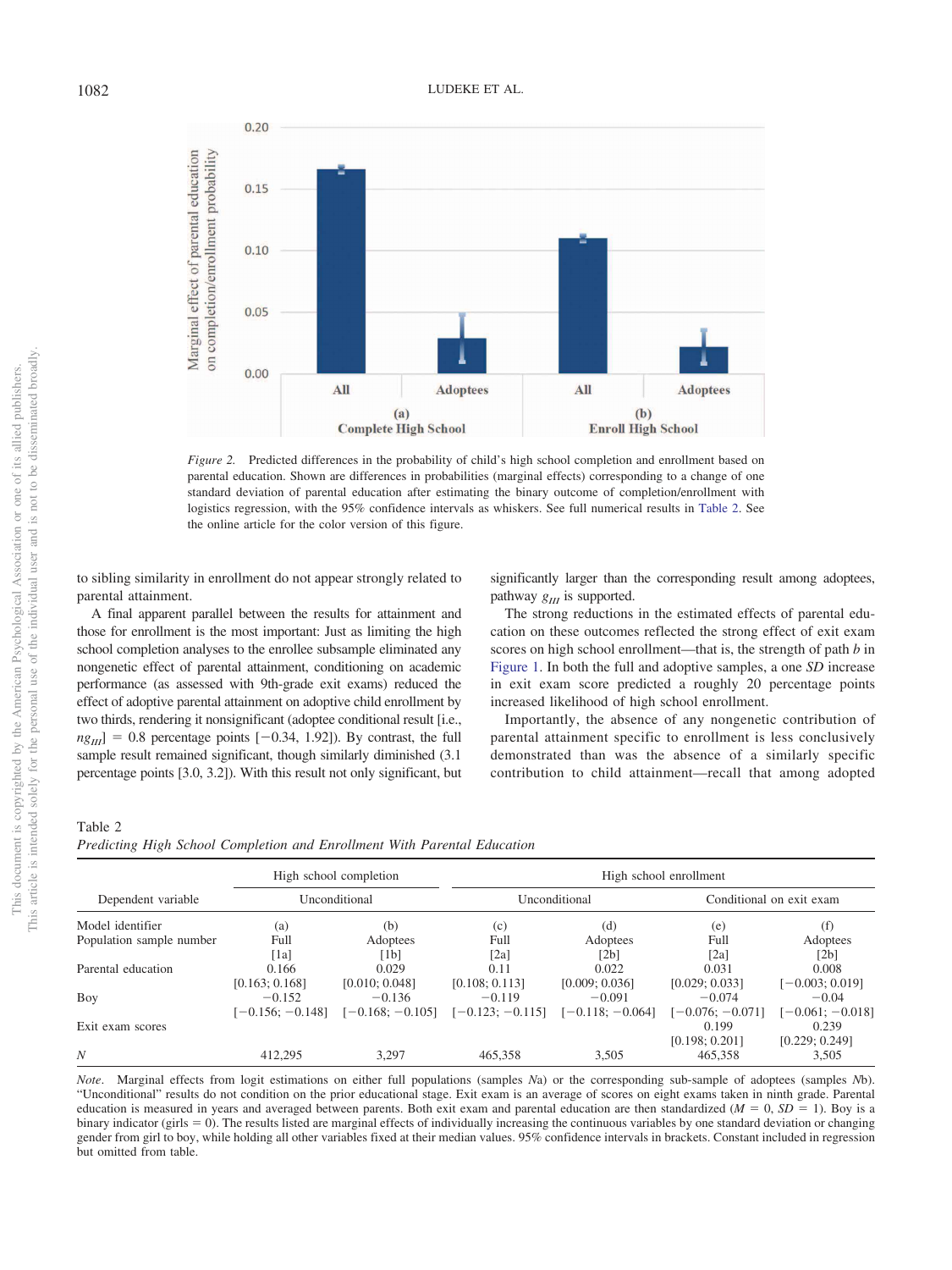

*Figure 2.* Predicted differences in the probability of child's high school completion and enrollment based on parental education. Shown are differences in probabilities (marginal effects) corresponding to a change of one standard deviation of parental education after estimating the binary outcome of completion/enrollment with logistics regression, with the 95% confidence intervals as whiskers. See full numerical results in Table 2. See the online article for the color version of this figure.

to sibling similarity in enrollment do not appear strongly related to parental attainment.

A final apparent parallel between the results for attainment and those for enrollment is the most important: Just as limiting the high school completion analyses to the enrollee subsample eliminated any nongenetic effect of parental attainment, conditioning on academic performance (as assessed with 9th-grade exit exams) reduced the effect of adoptive parental attainment on adoptive child enrollment by two thirds, rendering it nonsignificant (adoptee conditional result [i.e.,  $n g_{III}$ ] = 0.8 percentage points [-0.34, 1.92]). By contrast, the full sample result remained significant, though similarly diminished (3.1 percentage points [3.0, 3.2]). With this result not only significant, but

significantly larger than the corresponding result among adoptees, pathway  $g_{II}$  is supported.

The strong reductions in the estimated effects of parental education on these outcomes reflected the strong effect of exit exam scores on high school enrollment—that is, the strength of path *b* in Figure 1. In both the full and adoptive samples, a one *SD* increase in exit exam score predicted a roughly 20 percentage points increased likelihood of high school enrollment.

Importantly, the absence of any nongenetic contribution of parental attainment specific to enrollment is less conclusively demonstrated than was the absence of a similarly specific contribution to child attainment—recall that among adopted

## Table 2

| Predicting High School Completion and Enrollment With Parental Education |  |
|--------------------------------------------------------------------------|--|
|--------------------------------------------------------------------------|--|

|                          |                   | High school completion | High school enrollment |                    |                    |                          |  |
|--------------------------|-------------------|------------------------|------------------------|--------------------|--------------------|--------------------------|--|
| Dependent variable       |                   | Unconditional          |                        | Unconditional      |                    | Conditional on exit exam |  |
| Model identifier         | (a)               | (b)                    | (c)                    | (d)                | (e)                | (f)                      |  |
| Population sample number | Full              | Adoptees               | Full                   | Adoptees           | Full               | Adoptees                 |  |
|                          | [1a]              | [1b]                   | [2a]                   | [2b]               | $\lceil 2a \rceil$ | [2b]                     |  |
| Parental education       | 0.166             | 0.029                  | 0.11                   | 0.022              | 0.031              | 0.008                    |  |
|                          | [0.163; 0.168]    | [0.010; 0.048]         | [0.108; 0.113]         | [0.009; 0.036]     | [0.029; 0.033]     | $[-0.003; 0.019]$        |  |
| Boy                      | $-0.152$          | $-0.136$               | $-0.119$               | $-0.091$           | $-0.074$           | $-0.04$                  |  |
|                          | $[-0.156:-0.148]$ | $[-0.168:-0.105]$      | $[-0.123:-0.115]$      | $[-0.118; -0.064]$ | $[-0.076; -0.071]$ | $[-0.061; -0.018]$       |  |
| Exit exam scores         |                   |                        |                        |                    | 0.199              | 0.239                    |  |
|                          |                   |                        |                        |                    | [0.198; 0.201]     | [0.229; 0.249]           |  |
| N                        | 412,295           | 3.297                  | 465.358                | 3,505              | 465.358            | 3,505                    |  |

*Note*. Marginal effects from logit estimations on either full populations (samples *N*a) or the corresponding sub-sample of adoptees (samples *N*b). "Unconditional" results do not condition on the prior educational stage. Exit exam is an average of scores on eight exams taken in ninth grade. Parental education is measured in years and averaged between parents. Both exit exam and parental education are then standardized  $(M = 0, SD = 1)$ . Boy is a binary indicator (girls = 0). The results listed are marginal effects of individually increasing the continuous variables by one standard deviation or changing gender from girl to boy, while holding all other variables fixed at their median values. 95% confidence intervals in brackets. Constant included in regression but omitted from table.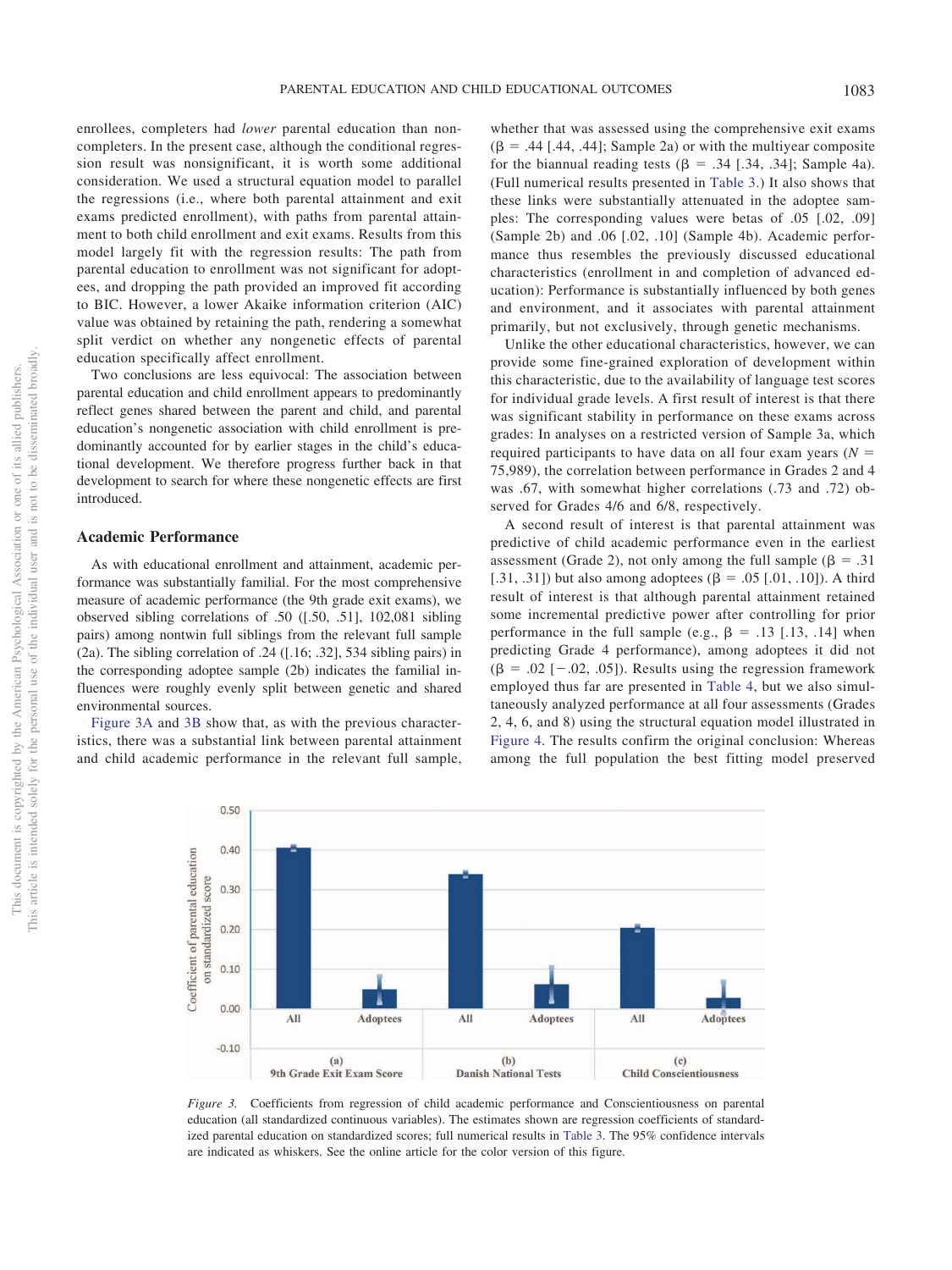enrollees, completers had *lower* parental education than noncompleters. In the present case, although the conditional regression result was nonsignificant, it is worth some additional consideration. We used a structural equation model to parallel the regressions (i.e., where both parental attainment and exit exams predicted enrollment), with paths from parental attainment to both child enrollment and exit exams. Results from this model largely fit with the regression results: The path from parental education to enrollment was not significant for adoptees, and dropping the path provided an improved fit according to BIC. However, a lower Akaike information criterion (AIC) value was obtained by retaining the path, rendering a somewhat split verdict on whether any nongenetic effects of parental education specifically affect enrollment.

Two conclusions are less equivocal: The association between parental education and child enrollment appears to predominantly reflect genes shared between the parent and child, and parental education's nongenetic association with child enrollment is predominantly accounted for by earlier stages in the child's educational development. We therefore progress further back in that development to search for where these nongenetic effects are first introduced.

#### **Academic Performance**

As with educational enrollment and attainment, academic performance was substantially familial. For the most comprehensive measure of academic performance (the 9th grade exit exams), we observed sibling correlations of .50 ([.50, .51], 102,081 sibling pairs) among nontwin full siblings from the relevant full sample (2a). The sibling correlation of .24 ([.16; .32], 534 sibling pairs) in the corresponding adoptee sample (2b) indicates the familial influences were roughly evenly split between genetic and shared environmental sources.

Figure 3A and 3B show that, as with the previous characteristics, there was a substantial link between parental attainment and child academic performance in the relevant full sample,

whether that was assessed using the comprehensive exit exams  $(\beta = .44$  [.44, .44]; Sample 2a) or with the multiyear composite for the biannual reading tests  $(\beta = .34$  [.34, .34]; Sample 4a). (Full numerical results presented in Table 3.) It also shows that these links were substantially attenuated in the adoptee samples: The corresponding values were betas of .05 [.02, .09] (Sample 2b) and .06 [.02, .10] (Sample 4b). Academic performance thus resembles the previously discussed educational characteristics (enrollment in and completion of advanced education): Performance is substantially influenced by both genes and environment, and it associates with parental attainment primarily, but not exclusively, through genetic mechanisms.

Unlike the other educational characteristics, however, we can provide some fine-grained exploration of development within this characteristic, due to the availability of language test scores for individual grade levels. A first result of interest is that there was significant stability in performance on these exams across grades: In analyses on a restricted version of Sample 3a, which required participants to have data on all four exam years  $(N =$ 75,989), the correlation between performance in Grades 2 and 4 was .67, with somewhat higher correlations (.73 and .72) observed for Grades 4/6 and 6/8, respectively.

A second result of interest is that parental attainment was predictive of child academic performance even in the earliest assessment (Grade 2), not only among the full sample ( $\beta = .31$ ) [.31, .31]) but also among adoptees ( $\beta = .05$  [.01, .10]). A third result of interest is that although parental attainment retained some incremental predictive power after controlling for prior performance in the full sample (e.g.,  $\beta = .13$  [.13, .14] when predicting Grade 4 performance), among adoptees it did not  $(\beta = .02 [-.02, .05])$ . Results using the regression framework employed thus far are presented in Table 4, but we also simultaneously analyzed performance at all four assessments (Grades 2, 4, 6, and 8) using the structural equation model illustrated in Figure 4. The results confirm the original conclusion: Whereas among the full population the best fitting model preserved



*Figure 3.* Coefficients from regression of child academic performance and Conscientiousness on parental education (all standardized continuous variables). The estimates shown are regression coefficients of standardized parental education on standardized scores; full numerical results in Table 3. The 95% confidence intervals are indicated as whiskers. See the online article for the color version of this figure.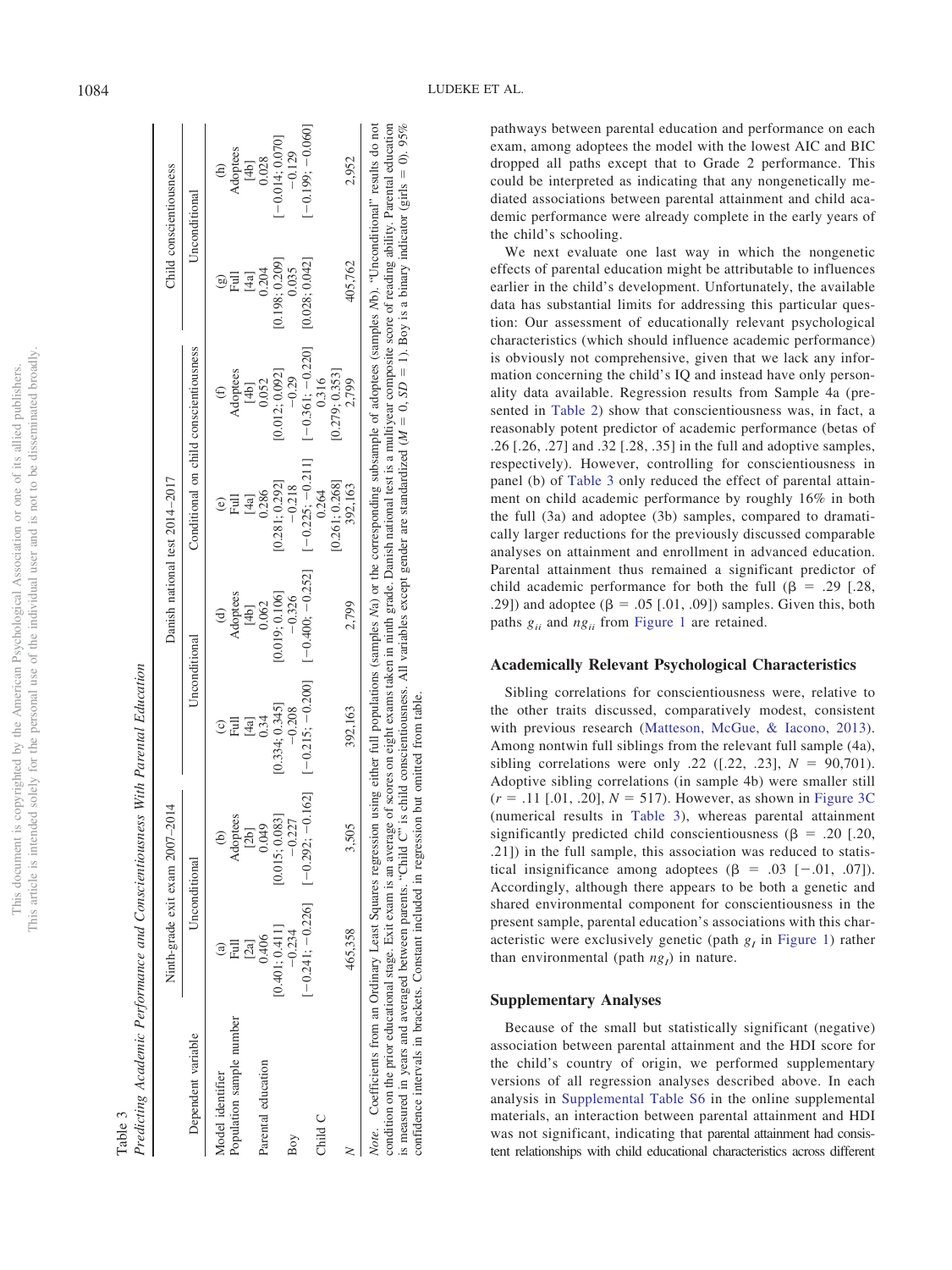|                               | I                        |
|-------------------------------|--------------------------|
|                               |                          |
|                               | i                        |
| i<br>i                        |                          |
| $\overline{1}$<br>l           | í                        |
|                               | ׇ֠                       |
|                               |                          |
| j                             | į<br>$\frac{1}{2}$       |
|                               | i                        |
|                               | j                        |
|                               |                          |
| ł<br>ì                        |                          |
| ï<br>j                        | ï<br>į                   |
|                               | ł<br>l                   |
|                               | i                        |
| Ě                             |                          |
|                               |                          |
|                               | J                        |
| $\overline{\phantom{a}}$<br>J |                          |
|                               | í                        |
| Ę                             |                          |
| c                             |                          |
|                               |                          |
| ١                             |                          |
|                               |                          |
| ł                             |                          |
|                               |                          |
|                               |                          |
|                               | <b>ISCI</b>              |
|                               |                          |
| ł                             |                          |
|                               |                          |
|                               |                          |
|                               |                          |
| ç                             | ł                        |
| j<br>ì                        |                          |
| j<br>ř<br>ì                   |                          |
| I<br>J                        |                          |
| j                             | i                        |
|                               |                          |
|                               | j                        |
|                               |                          |
| I                             |                          |
|                               |                          |
|                               |                          |
| COL<br>š                      |                          |
| ì                             |                          |
| Š                             |                          |
|                               | ë                        |
|                               | $\overline{\phantom{a}}$ |
|                               | ï                        |
| l                             | and control              |
| ₫                             |                          |
|                               |                          |
| TV T                          | ì<br>j                   |
|                               | í                        |
|                               |                          |
| Ċ<br>j                        | j<br>J<br>í              |
| ì<br>Ë<br>Ś                   |                          |
| ł<br>j                        |                          |
| ì                             |                          |
| <b>CERTIFICA</b>              | l                        |
| í                             | ï                        |
|                               |                          |
| ċ                             | j                        |
|                               |                          |
|                               | $\frac{1}{2}$            |
|                               |                          |
| neni                          | ļ                        |
|                               |                          |
|                               |                          |
|                               |                          |
| ١                             |                          |
|                               | j<br>I                   |
| $\frac{1}{2}$                 | В                        |
|                               |                          |
| ŀ<br>i                        |                          |
|                               | İ                        |
|                               |                          |
|                               | ŀ                        |

|                          |                | Ninth-grade exit exam 2007-2014                             |                   |                    | Danish national test 2014-2017                                                                                                                                                                                                                                |                                        |                | Child conscientiousness |
|--------------------------|----------------|-------------------------------------------------------------|-------------------|--------------------|---------------------------------------------------------------------------------------------------------------------------------------------------------------------------------------------------------------------------------------------------------------|----------------------------------------|----------------|-------------------------|
| Dependent variable       |                | Unconditional                                               |                   | Unconditional      |                                                                                                                                                                                                                                                               | Conditional on child conscientiousness |                | Unconditional           |
| Model identifier         |                | ê                                                           | $\widehat{\circ}$ |                    | $\widehat{\mathbf{e}}$                                                                                                                                                                                                                                        |                                        | ම              | $\widehat{\Xi}$         |
| Population sample number | 扂              | Adoptees                                                    | 目                 | Adoptees           | 目                                                                                                                                                                                                                                                             | Adoptees                               | 目              | Adoptees                |
|                          | $\alpha$       | $2b$ ]                                                      |                   | $[4b]$             | $[4a] \centering% \includegraphics[width=1\textwidth]{images/TrDiC-Architecture.png} \caption{The 3D (top) and the 4D (bottom) of the 3D (bottom) and the 4D (bottom) of the 3D (bottom) and the 4D (bottom) of the 3D (bottom).} \label{TrDiC-Architecture}$ | $[4b]$                                 | [4a]           | [4b]                    |
| Parental education       | 0.406          | 0.049                                                       | $[4a]$<br>$0.34$  | 0.062              | 0.286                                                                                                                                                                                                                                                         | 0.052                                  | 0.204          | 0.028                   |
|                          | [0.401; 0.411] | [0.015:0.083]                                               | [0.334:0.345]     | [0.019; 0.106]     | [0.281:0.292]                                                                                                                                                                                                                                                 | [0.012:0.092]                          | [0.198:0.209]  | $-0.014; 0.070$         |
| Boy                      | $-0.234$       | 0.227                                                       | $-0.208$          | $-0.326$           | $-0.218$                                                                                                                                                                                                                                                      | $-0.29$                                | 0.035          | $-0.129$                |
|                          |                | $[-0.241; -0.226]$ $[-0.162]$ $[-0.162]$ $[-0.215; -0.200]$ |                   | $[-0.400; -0.252]$ | $[-0.225:-0.211]$                                                                                                                                                                                                                                             | $[-0.361; -0.220]$                     | [0.028; 0.042] | $[-0.199; -0.060]$      |
| Child C                  |                |                                                             |                   |                    | [0.261; 0.268]<br>0.264                                                                                                                                                                                                                                       | [0.279; 0.353]<br>0.316                |                |                         |
|                          | 465,358        | 3,505                                                       | 392,163           | 2,799              | 392,163                                                                                                                                                                                                                                                       | 2,799                                  | 405,762        | 2,952                   |

condition on the prior educational stage. Exit exam is an average of scores on eight exams taken in ninth grade. Danish national test is a multiyear composite score of reading ability. Parental education

 $M = 0$ , *SD* 

is measured in years and averaged between parents. "Child C" is child conscientiousness. All variables except gender are standardized (

but omitted from table.

confidence intervals in brackets. Constant included in regression but omitted from table.

confidence intervals in brackets. Constant included in regression

|        | j<br>ׇ֚֡֝֬׆֧֞<br>י בייי שווע<br>$b \Delta a$ |
|--------|----------------------------------------------|
|        | $\frac{1}{2}$<br>Į                           |
|        | $-22.5$<br>í                                 |
|        | $\sim$ 1 $\sim$                              |
|        | $\overline{1}$<br>$\sim D_{\alpha m}$        |
|        |                                              |
| r<br>F |                                              |

 1). Boy is a binary indicator (girls  $= 0.95\%$ 

pathways between parental education and performance on each exam, among adoptees the model with the lowest AIC and BIC dropped all paths except that to Grade 2 performance. This could be interpreted as indicating that any nongenetically mediated associations between parental attainment and child academic performance were already complete in the early years of the child's schooling.

We next evaluate one last way in which the nongenetic effects of parental education might be attributable to influences earlier in the child's development. Unfortunately, the available data has substantial limits for addressing this particular question: Our assessment of educationally relevant psychological characteristics (which should influence academic performance) is obviously not comprehensive, given that we lack any information concerning the child's IQ and instead have only personality data available. Regression results from Sample 4a (presented in Table 2) show that conscientiousness was, in fact, a reasonably potent predictor of academic performance (betas of .26 [.26, .27] and .32 [.28, .35] in the full and adoptive samples, respectively). However, controlling for conscientiousness in panel (b) of Table 3 only reduced the effect of parental attainment on child academic performance by roughly 16% in both the full (3a) and adoptee (3b) samples, compared to dramatically larger reductions for the previously discussed comparable analyses on attainment and enrollment in advanced education. Parental attainment thus remained a significant predictor of child academic performance for both the full  $(\beta = .29)$  [.28, .29]) and adoptee  $(\beta = .05$  [.01, .09]) samples. Given this, both paths  $g_{ii}$  and  $ng_{ii}$  from Figure 1 are retained.

# **Academically Relevant Psychological Characteristics**

Sibling correlations for conscientiousness were, relative to the other traits discussed, comparatively modest, consistent with previous research (Matteson, McGue, & Iacono, 2013). Among nontwin full siblings from the relevant full sample (4a), sibling correlations were only .22 ([.22, .23],  $N = 90,701$ ). Adoptive sibling correlations (in sample 4b) were smaller still  $(r = .11$  [.01, .20],  $N = 517$ ). However, as shown in Figure 3C (numerical results in Table 3), whereas parental attainment significantly predicted child conscientiousness ( $\beta$  = .20 [.20, .21]) in the full sample, this association was reduced to statistical insignificance among adoptees  $(\beta = .03 [-.01, .07])$ . Accordingly, although there appears to be both a genetic and shared environmental component for conscientiousness in the present sample, parental education's associations with this characteristic were exclusively genetic (path  $g_I$  in Figure 1) rather than environmental (path  $ng_I$ ) in nature.

## **Supplementary Analyses**

Because of the small but statistically significant (negative) association between parental attainment and the HDI score for the child's country of origin, we performed supplementary versions of all regression analyses described above. In each analysis in Supplemental Table S6 in the online supplemental materials, an interaction between parental attainment and HDI was not significant, indicating that parental attainment had consistent relationships with child educational characteristics across different

 $\vert \vert$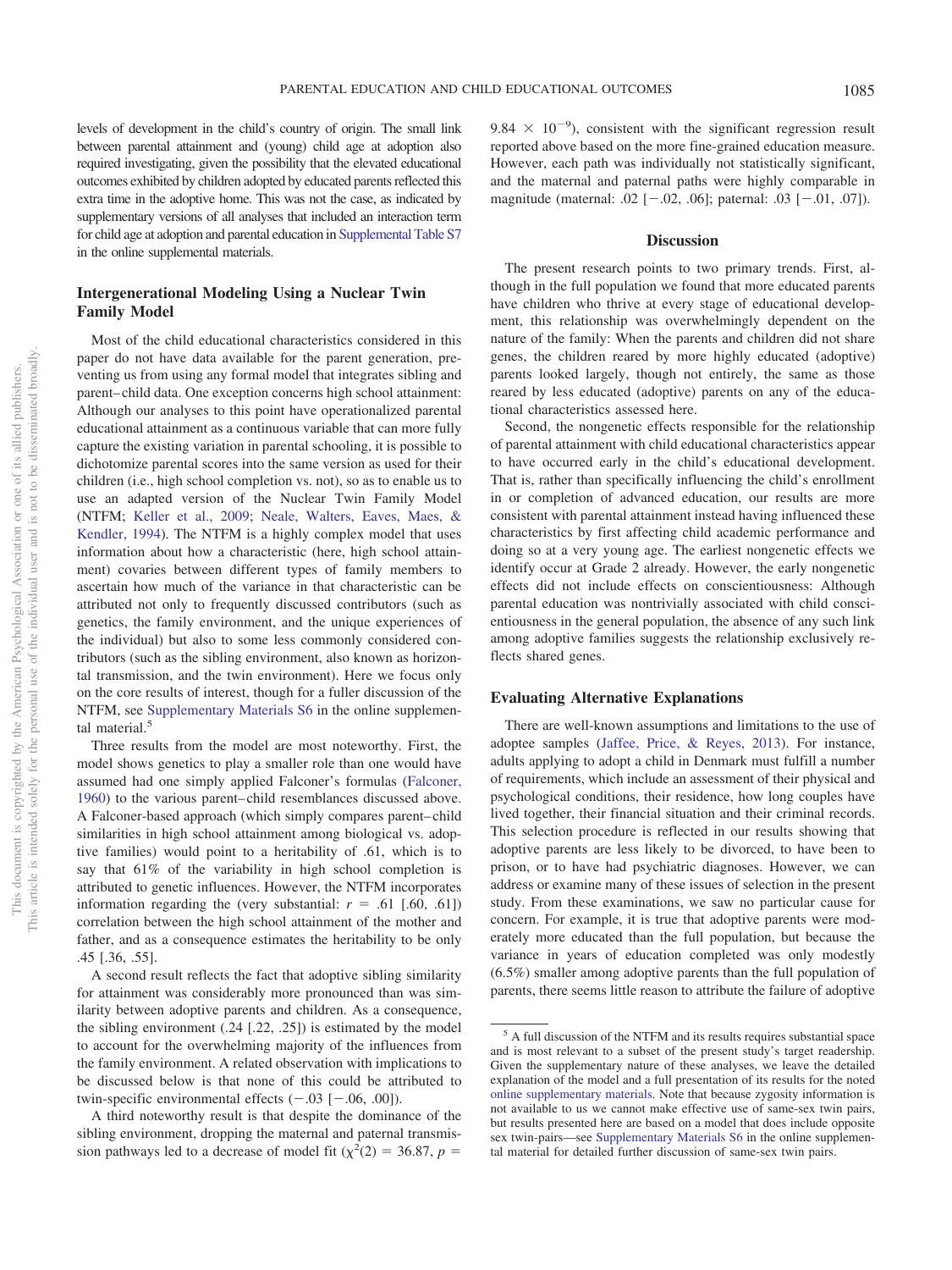levels of development in the child's country of origin. The small link between parental attainment and (young) child age at adoption also required investigating, given the possibility that the elevated educational outcomes exhibited by children adopted by educated parents reflected this extra time in the adoptive home. This was not the case, as indicated by supplementary versions of all analyses that included an interaction term for child age at adoption and parental education in Supplemental Table S7 in the online supplemental materials.

# **Intergenerational Modeling Using a Nuclear Twin Family Model**

Most of the child educational characteristics considered in this paper do not have data available for the parent generation, preventing us from using any formal model that integrates sibling and parent–child data. One exception concerns high school attainment: Although our analyses to this point have operationalized parental educational attainment as a continuous variable that can more fully capture the existing variation in parental schooling, it is possible to dichotomize parental scores into the same version as used for their children (i.e., high school completion vs. not), so as to enable us to use an adapted version of the Nuclear Twin Family Model (NTFM; Keller et al., 2009; Neale, Walters, Eaves, Maes, & Kendler, 1994). The NTFM is a highly complex model that uses information about how a characteristic (here, high school attainment) covaries between different types of family members to ascertain how much of the variance in that characteristic can be attributed not only to frequently discussed contributors (such as genetics, the family environment, and the unique experiences of the individual) but also to some less commonly considered contributors (such as the sibling environment, also known as horizontal transmission, and the twin environment). Here we focus only on the core results of interest, though for a fuller discussion of the NTFM, see Supplementary Materials S6 in the online supplemental material.<sup>5</sup>

Three results from the model are most noteworthy. First, the model shows genetics to play a smaller role than one would have assumed had one simply applied Falconer's formulas (Falconer, 1960) to the various parent–child resemblances discussed above. A Falconer-based approach (which simply compares parent–child similarities in high school attainment among biological vs. adoptive families) would point to a heritability of .61, which is to say that 61% of the variability in high school completion is attributed to genetic influences. However, the NTFM incorporates information regarding the (very substantial:  $r = .61$  [.60, .61]) correlation between the high school attainment of the mother and father, and as a consequence estimates the heritability to be only .45 [.36, .55].

A second result reflects the fact that adoptive sibling similarity for attainment was considerably more pronounced than was similarity between adoptive parents and children. As a consequence, the sibling environment (.24 [.22, .25]) is estimated by the model to account for the overwhelming majority of the influences from the family environment. A related observation with implications to be discussed below is that none of this could be attributed to twin-specific environmental effects  $(-.03$   $[-.06, .00])$ .

A third noteworthy result is that despite the dominance of the sibling environment, dropping the maternal and paternal transmission pathways led to a decrease of model fit ( $\chi^2(2) = 36.87$ ,  $p =$ 

9.84  $\times$  10<sup>-9</sup>), consistent with the significant regression result reported above based on the more fine-grained education measure. However, each path was individually not statistically significant, and the maternal and paternal paths were highly comparable in magnitude (maternal: .02  $[-.02, .06]$ ; paternal: .03  $[-.01, .07]$ ).

#### **Discussion**

The present research points to two primary trends. First, although in the full population we found that more educated parents have children who thrive at every stage of educational development, this relationship was overwhelmingly dependent on the nature of the family: When the parents and children did not share genes, the children reared by more highly educated (adoptive) parents looked largely, though not entirely, the same as those reared by less educated (adoptive) parents on any of the educational characteristics assessed here.

Second, the nongenetic effects responsible for the relationship of parental attainment with child educational characteristics appear to have occurred early in the child's educational development. That is, rather than specifically influencing the child's enrollment in or completion of advanced education, our results are more consistent with parental attainment instead having influenced these characteristics by first affecting child academic performance and doing so at a very young age. The earliest nongenetic effects we identify occur at Grade 2 already. However, the early nongenetic effects did not include effects on conscientiousness: Although parental education was nontrivially associated with child conscientiousness in the general population, the absence of any such link among adoptive families suggests the relationship exclusively reflects shared genes.

#### **Evaluating Alternative Explanations**

There are well-known assumptions and limitations to the use of adoptee samples (Jaffee, Price, & Reyes, 2013). For instance, adults applying to adopt a child in Denmark must fulfill a number of requirements, which include an assessment of their physical and psychological conditions, their residence, how long couples have lived together, their financial situation and their criminal records. This selection procedure is reflected in our results showing that adoptive parents are less likely to be divorced, to have been to prison, or to have had psychiatric diagnoses. However, we can address or examine many of these issues of selection in the present study. From these examinations, we saw no particular cause for concern. For example, it is true that adoptive parents were moderately more educated than the full population, but because the variance in years of education completed was only modestly (6.5%) smaller among adoptive parents than the full population of parents, there seems little reason to attribute the failure of adoptive

<sup>5</sup> A full discussion of the NTFM and its results requires substantial space and is most relevant to a subset of the present study's target readership. Given the supplementary nature of these analyses, we leave the detailed explanation of the model and a full presentation of its results for the noted online supplementary materials. Note that because zygosity information is not available to us we cannot make effective use of same-sex twin pairs, but results presented here are based on a model that does include opposite sex twin-pairs—see Supplementary Materials S6 in the online supplemental material for detailed further discussion of same-sex twin pairs.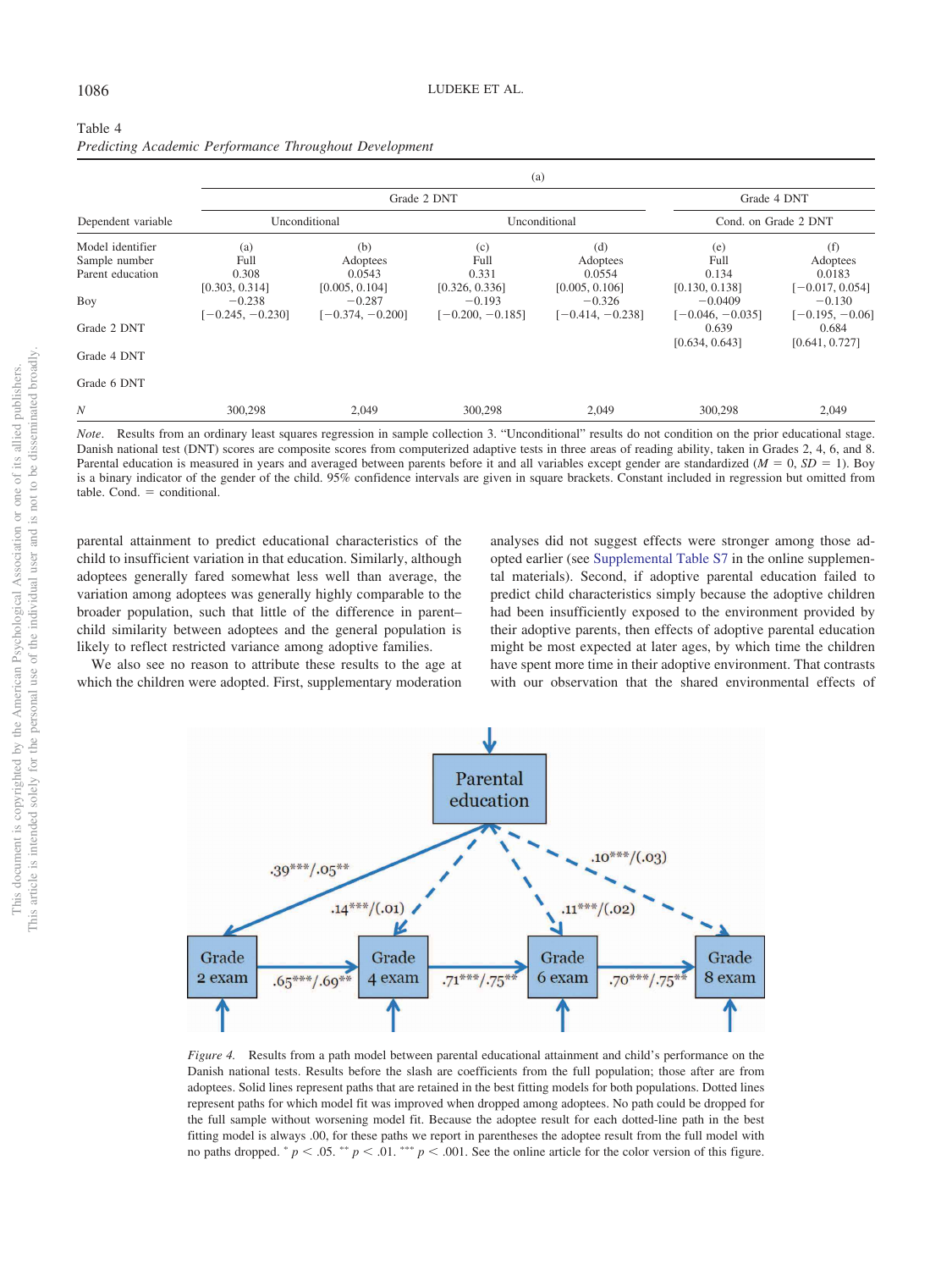| Table 4 |  |                                                        |
|---------|--|--------------------------------------------------------|
|         |  | Predicting Academic Performance Throughout Development |

| (a)                |                    |                    |                    |                      |                   |  |  |
|--------------------|--------------------|--------------------|--------------------|----------------------|-------------------|--|--|
|                    |                    | Grade 4 DNT        |                    |                      |                   |  |  |
| Unconditional      |                    |                    |                    | Cond. on Grade 2 DNT |                   |  |  |
| (a)                | (b)                | (c)                | (d)                | (e)                  | (f)               |  |  |
| Full               | Adoptees           | Full               | Adoptees           | Full                 | Adoptees          |  |  |
| 0.308              | 0.0543             | 0.331              | 0.0554             | 0.134                | 0.0183            |  |  |
| [0.303, 0.314]     | [0.005, 0.104]     | [0.326, 0.336]     | [0.005, 0.106]     | [0.130, 0.138]       | $[-0.017, 0.054]$ |  |  |
| $-0.238$           | $-0.287$           | $-0.193$           | $-0.326$           | $-0.0409$            | $-0.130$          |  |  |
| $[-0.245, -0.230]$ | $[-0.374, -0.200]$ | $[-0.200, -0.185]$ | $[-0.414, -0.238]$ | $[-0.046, -0.035]$   | $[-0.195, -0.06]$ |  |  |
|                    |                    |                    |                    | 0.639                | 0.684             |  |  |
|                    |                    |                    |                    | [0.634, 0.643]       | [0.641, 0.727]    |  |  |
|                    |                    |                    |                    |                      |                   |  |  |
|                    |                    |                    |                    |                      |                   |  |  |
| 300,298            | 2,049              | 300,298            | 2,049              | 300,298              | 2,049             |  |  |
|                    |                    |                    | Grade 2 DNT        | Unconditional        |                   |  |  |

*Note*. Results from an ordinary least squares regression in sample collection 3. "Unconditional" results do not condition on the prior educational stage. Danish national test (DNT) scores are composite scores from computerized adaptive tests in three areas of reading ability, taken in Grades 2, 4, 6, and 8. Parental education is measured in years and averaged between parents before it and all variables except gender are standardized  $(M = 0, SD = 1)$ . Boy is a binary indicator of the gender of the child. 95% confidence intervals are given in square brackets. Constant included in regression but omitted from  $table.$  Cond.  $=$  conditional.

parental attainment to predict educational characteristics of the child to insufficient variation in that education. Similarly, although adoptees generally fared somewhat less well than average, the variation among adoptees was generally highly comparable to the broader population, such that little of the difference in parent– child similarity between adoptees and the general population is likely to reflect restricted variance among adoptive families.

We also see no reason to attribute these results to the age at which the children were adopted. First, supplementary moderation

analyses did not suggest effects were stronger among those adopted earlier (see Supplemental Table S7 in the online supplemental materials). Second, if adoptive parental education failed to predict child characteristics simply because the adoptive children had been insufficiently exposed to the environment provided by their adoptive parents, then effects of adoptive parental education might be most expected at later ages, by which time the children have spent more time in their adoptive environment. That contrasts with our observation that the shared environmental effects of



*Figure 4.* Results from a path model between parental educational attainment and child's performance on the Danish national tests. Results before the slash are coefficients from the full population; those after are from adoptees. Solid lines represent paths that are retained in the best fitting models for both populations. Dotted lines represent paths for which model fit was improved when dropped among adoptees. No path could be dropped for the full sample without worsening model fit. Because the adoptee result for each dotted-line path in the best fitting model is always .00, for these paths we report in parentheses the adoptee result from the full model with no paths dropped.  $^{*}p < .05.^{*}p < .01.^{*}$   $p < .001.$  See the online article for the color version of this figure.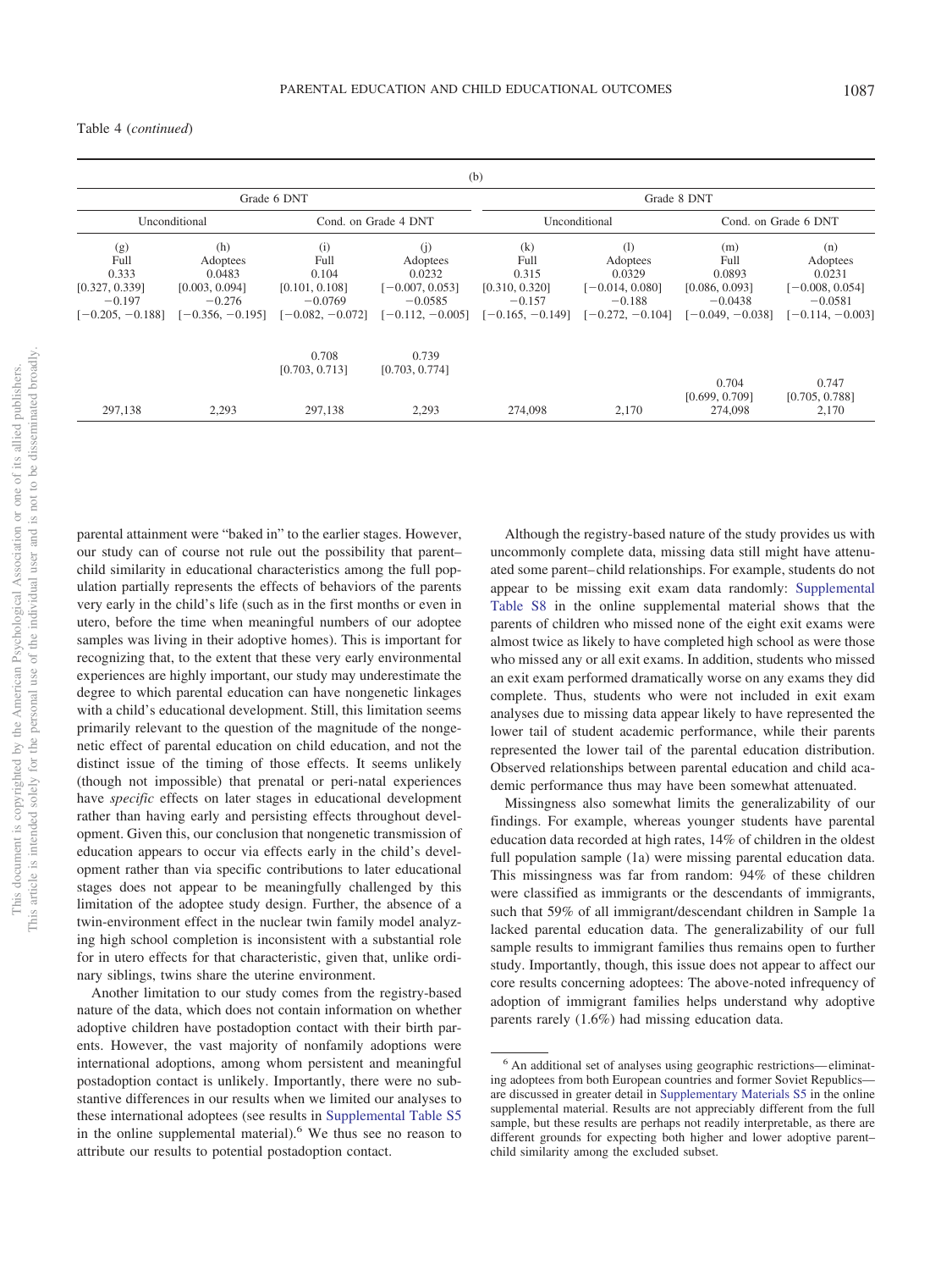Table 4 (*continued*)

|                                                                          |                                                                               |                                                     |                                                                                                      | (b)                                                                      |                                                                                  |                                                                            |                                                                                   |
|--------------------------------------------------------------------------|-------------------------------------------------------------------------------|-----------------------------------------------------|------------------------------------------------------------------------------------------------------|--------------------------------------------------------------------------|----------------------------------------------------------------------------------|----------------------------------------------------------------------------|-----------------------------------------------------------------------------------|
|                                                                          | Grade 6 DNT                                                                   |                                                     |                                                                                                      |                                                                          |                                                                                  | Grade 8 DNT                                                                |                                                                                   |
|                                                                          | Cond. on Grade 4 DNT<br>Unconditional<br>Unconditional                        |                                                     |                                                                                                      |                                                                          | Cond. on Grade 6 DNT                                                             |                                                                            |                                                                                   |
| (g)<br>Full<br>0.333<br>[0.327, 0.339]<br>$-0.197$<br>$[-0.205, -0.188]$ | (h)<br>Adoptees<br>0.0483<br>[0.003, 0.094]<br>$-0.276$<br>$[-0.356, -0.195]$ | (i)<br>Full<br>0.104<br>[0.101, 0.108]<br>$-0.0769$ | (i)<br>Adoptees<br>0.0232<br>$[-0.007, 0.053]$<br>$-0.0585$<br>$[-0.082, -0.072]$ $[-0.112, -0.005]$ | (k)<br>Full<br>0.315<br>[0.310, 0.320]<br>$-0.157$<br>$[-0.165, -0.149]$ | (1)<br>Adoptees<br>0.0329<br>$[-0.014, 0.080]$<br>$-0.188$<br>$[-0.272, -0.104]$ | (m)<br>Full<br>0.0893<br>[0.086, 0.093]<br>$-0.0438$<br>$[-0.049, -0.038]$ | (n)<br>Adoptees<br>0.0231<br>$[-0.008, 0.054]$<br>$-0.0581$<br>$[-0.114, -0.003]$ |
| 297,138                                                                  | 2,293                                                                         | 0.708<br>[0.703, 0.713]<br>297,138                  | 0.739<br>[0.703, 0.774]<br>2,293                                                                     | 274,098                                                                  | 2,170                                                                            | 0.704<br>[0.699, 0.709]<br>274,098                                         | 0.747<br>[0.705, 0.788]<br>2,170                                                  |

parental attainment were "baked in" to the earlier stages. However, our study can of course not rule out the possibility that parent– child similarity in educational characteristics among the full population partially represents the effects of behaviors of the parents very early in the child's life (such as in the first months or even in utero, before the time when meaningful numbers of our adoptee samples was living in their adoptive homes). This is important for recognizing that, to the extent that these very early environmental experiences are highly important, our study may underestimate the degree to which parental education can have nongenetic linkages with a child's educational development. Still, this limitation seems primarily relevant to the question of the magnitude of the nongenetic effect of parental education on child education, and not the distinct issue of the timing of those effects. It seems unlikely (though not impossible) that prenatal or peri-natal experiences have *specific* effects on later stages in educational development rather than having early and persisting effects throughout development. Given this, our conclusion that nongenetic transmission of education appears to occur via effects early in the child's development rather than via specific contributions to later educational stages does not appear to be meaningfully challenged by this limitation of the adoptee study design. Further, the absence of a twin-environment effect in the nuclear twin family model analyzing high school completion is inconsistent with a substantial role for in utero effects for that characteristic, given that, unlike ordinary siblings, twins share the uterine environment.

Another limitation to our study comes from the registry-based nature of the data, which does not contain information on whether adoptive children have postadoption contact with their birth parents. However, the vast majority of nonfamily adoptions were international adoptions, among whom persistent and meaningful postadoption contact is unlikely. Importantly, there were no substantive differences in our results when we limited our analyses to these international adoptees (see results in Supplemental Table S5 in the online supplemental material).<sup>6</sup> We thus see no reason to attribute our results to potential postadoption contact.

Although the registry-based nature of the study provides us with uncommonly complete data, missing data still might have attenuated some parent–child relationships. For example, students do not appear to be missing exit exam data randomly: Supplemental Table S8 in the online supplemental material shows that the parents of children who missed none of the eight exit exams were almost twice as likely to have completed high school as were those who missed any or all exit exams. In addition, students who missed an exit exam performed dramatically worse on any exams they did complete. Thus, students who were not included in exit exam analyses due to missing data appear likely to have represented the lower tail of student academic performance, while their parents represented the lower tail of the parental education distribution. Observed relationships between parental education and child academic performance thus may have been somewhat attenuated.

Missingness also somewhat limits the generalizability of our findings. For example, whereas younger students have parental education data recorded at high rates, 14% of children in the oldest full population sample (1a) were missing parental education data. This missingness was far from random: 94% of these children were classified as immigrants or the descendants of immigrants, such that 59% of all immigrant/descendant children in Sample 1a lacked parental education data. The generalizability of our full sample results to immigrant families thus remains open to further study. Importantly, though, this issue does not appear to affect our core results concerning adoptees: The above-noted infrequency of adoption of immigrant families helps understand why adoptive parents rarely (1.6%) had missing education data.

<sup>6</sup> An additional set of analyses using geographic restrictions—eliminating adoptees from both European countries and former Soviet Republics are discussed in greater detail in Supplementary Materials S5 in the online supplemental material. Results are not appreciably different from the full sample, but these results are perhaps not readily interpretable, as there are different grounds for expecting both higher and lower adoptive parent– child similarity among the excluded subset.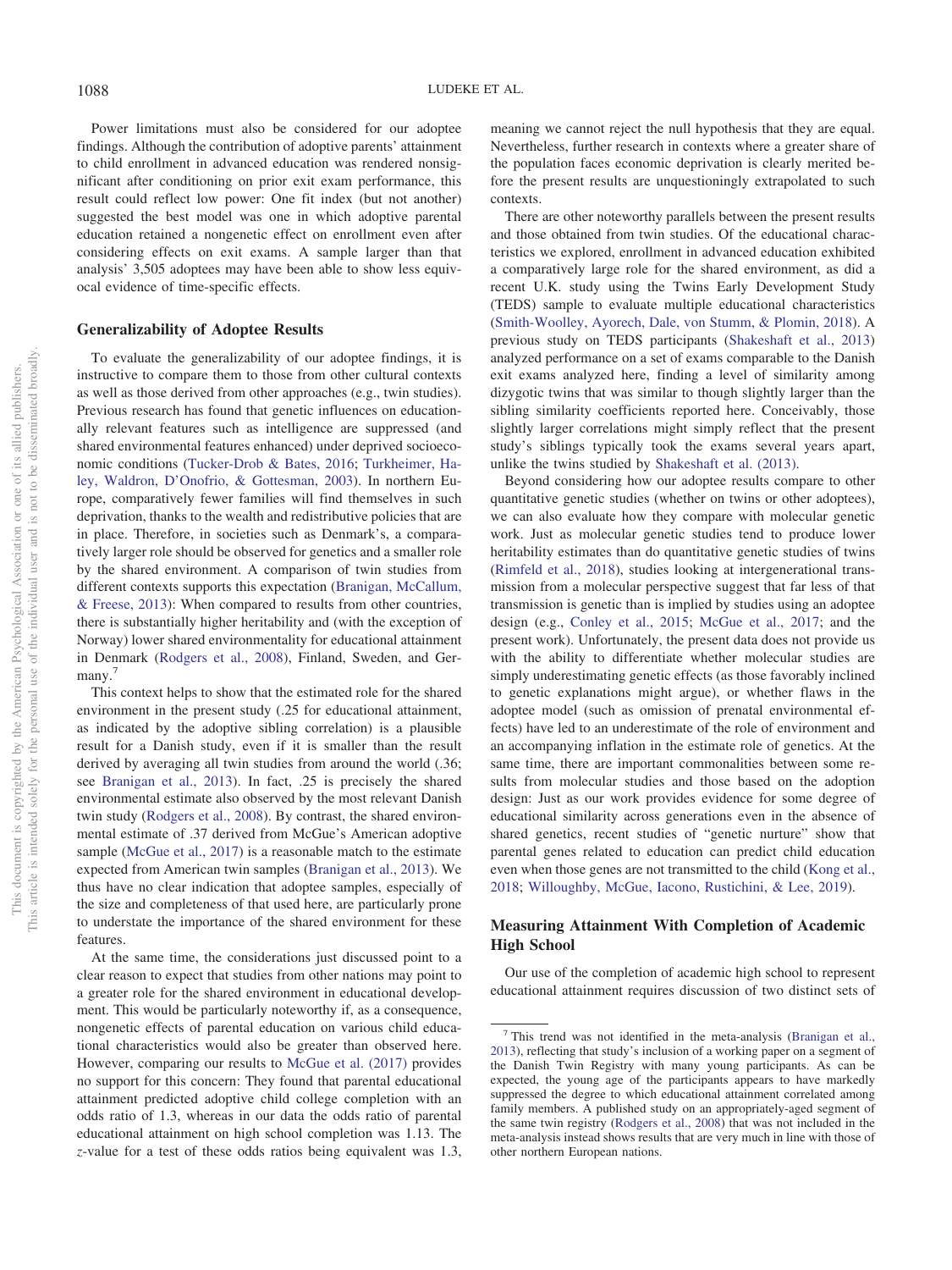Power limitations must also be considered for our adoptee findings. Although the contribution of adoptive parents' attainment to child enrollment in advanced education was rendered nonsignificant after conditioning on prior exit exam performance, this result could reflect low power: One fit index (but not another) suggested the best model was one in which adoptive parental education retained a nongenetic effect on enrollment even after considering effects on exit exams. A sample larger than that analysis' 3,505 adoptees may have been able to show less equivocal evidence of time-specific effects.

# **Generalizability of Adoptee Results**

To evaluate the generalizability of our adoptee findings, it is instructive to compare them to those from other cultural contexts as well as those derived from other approaches (e.g., twin studies). Previous research has found that genetic influences on educationally relevant features such as intelligence are suppressed (and shared environmental features enhanced) under deprived socioeconomic conditions (Tucker-Drob & Bates, 2016; Turkheimer, Haley, Waldron, D'Onofrio, & Gottesman, 2003). In northern Europe, comparatively fewer families will find themselves in such deprivation, thanks to the wealth and redistributive policies that are in place. Therefore, in societies such as Denmark's, a comparatively larger role should be observed for genetics and a smaller role by the shared environment. A comparison of twin studies from different contexts supports this expectation (Branigan, McCallum, & Freese, 2013): When compared to results from other countries, there is substantially higher heritability and (with the exception of Norway) lower shared environmentality for educational attainment in Denmark (Rodgers et al., 2008), Finland, Sweden, and Germany.<sup>7</sup>

This context helps to show that the estimated role for the shared environment in the present study (.25 for educational attainment, as indicated by the adoptive sibling correlation) is a plausible result for a Danish study, even if it is smaller than the result derived by averaging all twin studies from around the world (.36; see Branigan et al., 2013). In fact, .25 is precisely the shared environmental estimate also observed by the most relevant Danish twin study (Rodgers et al., 2008). By contrast, the shared environmental estimate of .37 derived from McGue's American adoptive sample (McGue et al., 2017) is a reasonable match to the estimate expected from American twin samples (Branigan et al., 2013). We thus have no clear indication that adoptee samples, especially of the size and completeness of that used here, are particularly prone to understate the importance of the shared environment for these features.

At the same time, the considerations just discussed point to a clear reason to expect that studies from other nations may point to a greater role for the shared environment in educational development. This would be particularly noteworthy if, as a consequence, nongenetic effects of parental education on various child educational characteristics would also be greater than observed here. However, comparing our results to McGue et al. (2017) provides no support for this concern: They found that parental educational attainment predicted adoptive child college completion with an odds ratio of 1.3, whereas in our data the odds ratio of parental educational attainment on high school completion was 1.13. The *z*-value for a test of these odds ratios being equivalent was 1.3,

meaning we cannot reject the null hypothesis that they are equal. Nevertheless, further research in contexts where a greater share of the population faces economic deprivation is clearly merited before the present results are unquestioningly extrapolated to such contexts.

There are other noteworthy parallels between the present results and those obtained from twin studies. Of the educational characteristics we explored, enrollment in advanced education exhibited a comparatively large role for the shared environment, as did a recent U.K. study using the Twins Early Development Study (TEDS) sample to evaluate multiple educational characteristics (Smith-Woolley, Ayorech, Dale, von Stumm, & Plomin, 2018). A previous study on TEDS participants (Shakeshaft et al., 2013) analyzed performance on a set of exams comparable to the Danish exit exams analyzed here, finding a level of similarity among dizygotic twins that was similar to though slightly larger than the sibling similarity coefficients reported here. Conceivably, those slightly larger correlations might simply reflect that the present study's siblings typically took the exams several years apart, unlike the twins studied by Shakeshaft et al. (2013).

Beyond considering how our adoptee results compare to other quantitative genetic studies (whether on twins or other adoptees), we can also evaluate how they compare with molecular genetic work. Just as molecular genetic studies tend to produce lower heritability estimates than do quantitative genetic studies of twins (Rimfeld et al., 2018), studies looking at intergenerational transmission from a molecular perspective suggest that far less of that transmission is genetic than is implied by studies using an adoptee design (e.g., Conley et al., 2015; McGue et al., 2017; and the present work). Unfortunately, the present data does not provide us with the ability to differentiate whether molecular studies are simply underestimating genetic effects (as those favorably inclined to genetic explanations might argue), or whether flaws in the adoptee model (such as omission of prenatal environmental effects) have led to an underestimate of the role of environment and an accompanying inflation in the estimate role of genetics. At the same time, there are important commonalities between some results from molecular studies and those based on the adoption design: Just as our work provides evidence for some degree of educational similarity across generations even in the absence of shared genetics, recent studies of "genetic nurture" show that parental genes related to education can predict child education even when those genes are not transmitted to the child (Kong et al., 2018; Willoughby, McGue, Iacono, Rustichini, & Lee, 2019).

# **Measuring Attainment With Completion of Academic High School**

Our use of the completion of academic high school to represent educational attainment requires discussion of two distinct sets of

<sup>7</sup> This trend was not identified in the meta-analysis (Branigan et al., 2013), reflecting that study's inclusion of a working paper on a segment of the Danish Twin Registry with many young participants. As can be expected, the young age of the participants appears to have markedly suppressed the degree to which educational attainment correlated among family members. A published study on an appropriately-aged segment of the same twin registry (Rodgers et al., 2008) that was not included in the meta-analysis instead shows results that are very much in line with those of other northern European nations.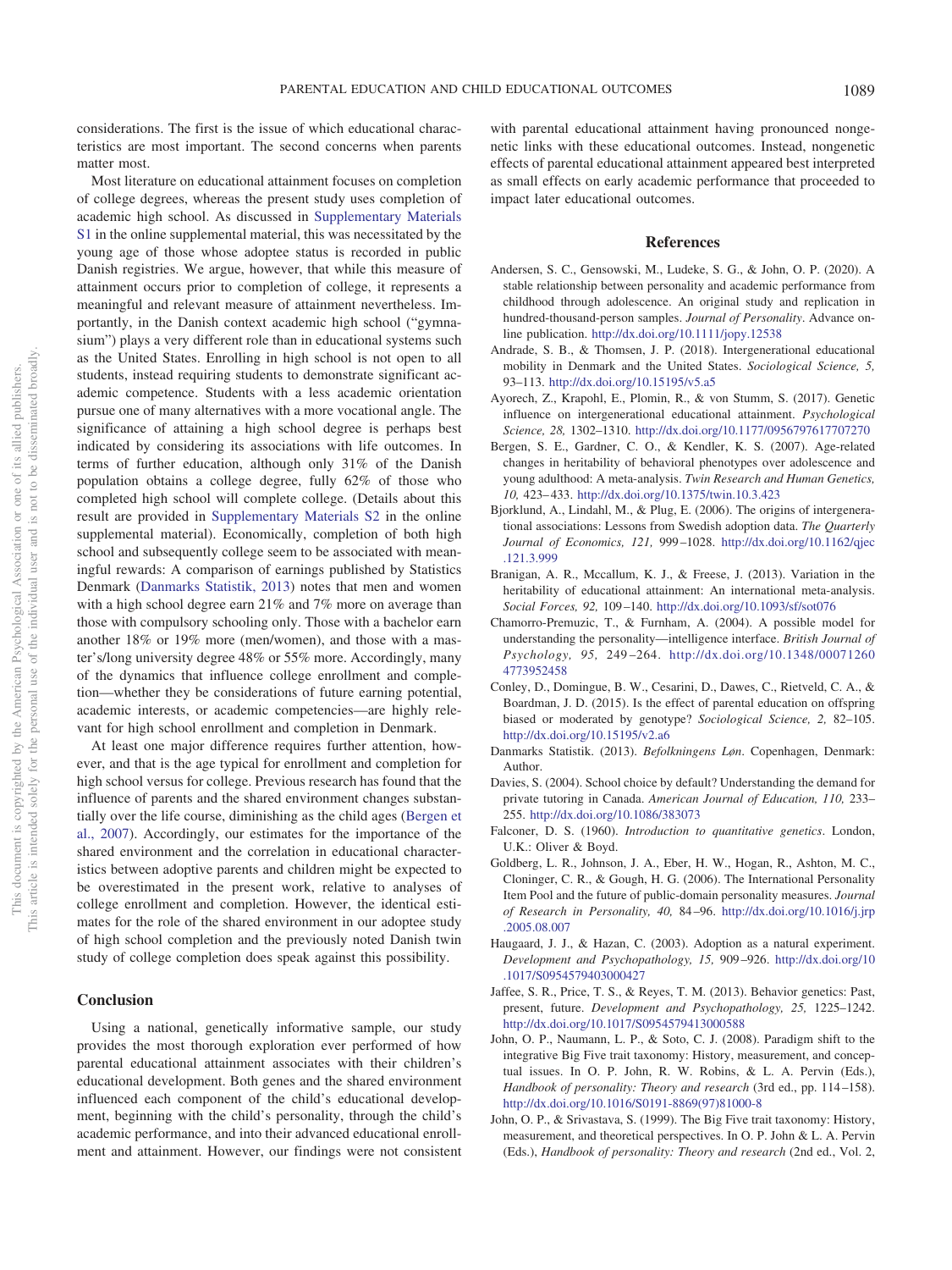considerations. The first is the issue of which educational characteristics are most important. The second concerns when parents matter most.

Most literature on educational attainment focuses on completion of college degrees, whereas the present study uses completion of academic high school. As discussed in Supplementary Materials S1 in the online supplemental material, this was necessitated by the young age of those whose adoptee status is recorded in public Danish registries. We argue, however, that while this measure of attainment occurs prior to completion of college, it represents a meaningful and relevant measure of attainment nevertheless. Importantly, in the Danish context academic high school ("gymnasium") plays a very different role than in educational systems such as the United States. Enrolling in high school is not open to all students, instead requiring students to demonstrate significant academic competence. Students with a less academic orientation pursue one of many alternatives with a more vocational angle. The significance of attaining a high school degree is perhaps best indicated by considering its associations with life outcomes. In terms of further education, although only 31% of the Danish population obtains a college degree, fully 62% of those who completed high school will complete college. (Details about this result are provided in Supplementary Materials S2 in the online supplemental material). Economically, completion of both high school and subsequently college seem to be associated with meaningful rewards: A comparison of earnings published by Statistics Denmark (Danmarks Statistik, 2013) notes that men and women with a high school degree earn 21% and 7% more on average than those with compulsory schooling only. Those with a bachelor earn another 18% or 19% more (men/women), and those with a master's/long university degree 48% or 55% more. Accordingly, many of the dynamics that influence college enrollment and completion—whether they be considerations of future earning potential, academic interests, or academic competencies—are highly relevant for high school enrollment and completion in Denmark.

At least one major difference requires further attention, however, and that is the age typical for enrollment and completion for high school versus for college. Previous research has found that the influence of parents and the shared environment changes substantially over the life course, diminishing as the child ages (Bergen et al., 2007). Accordingly, our estimates for the importance of the shared environment and the correlation in educational characteristics between adoptive parents and children might be expected to be overestimated in the present work, relative to analyses of college enrollment and completion. However, the identical estimates for the role of the shared environment in our adoptee study of high school completion and the previously noted Danish twin study of college completion does speak against this possibility.

## **Conclusion**

Using a national, genetically informative sample, our study provides the most thorough exploration ever performed of how parental educational attainment associates with their children's educational development. Both genes and the shared environment influenced each component of the child's educational development, beginning with the child's personality, through the child's academic performance, and into their advanced educational enrollment and attainment. However, our findings were not consistent

with parental educational attainment having pronounced nongenetic links with these educational outcomes. Instead, nongenetic effects of parental educational attainment appeared best interpreted as small effects on early academic performance that proceeded to impact later educational outcomes.

#### **References**

- Andersen, S. C., Gensowski, M., Ludeke, S. G., & John, O. P. (2020). A stable relationship between personality and academic performance from childhood through adolescence. An original study and replication in hundred-thousand-person samples. *Journal of Personality*. Advance online publication. http://dx.doi.org/10.1111/jopy.12538
- Andrade, S. B., & Thomsen, J. P. (2018). Intergenerational educational mobility in Denmark and the United States. *Sociological Science, 5,* 93–113. http://dx.doi.org/10.15195/v5.a5
- Ayorech, Z., Krapohl, E., Plomin, R., & von Stumm, S. (2017). Genetic influence on intergenerational educational attainment. *Psychological Science, 28,* 1302–1310. http://dx.doi.org/10.1177/0956797617707270
- Bergen, S. E., Gardner, C. O., & Kendler, K. S. (2007). Age-related changes in heritability of behavioral phenotypes over adolescence and young adulthood: A meta-analysis. *Twin Research and Human Genetics, 10,* 423–433. http://dx.doi.org/10.1375/twin.10.3.423
- Bjorklund, A., Lindahl, M., & Plug, E. (2006). The origins of intergenerational associations: Lessons from Swedish adoption data. *The Quarterly Journal of Economics, 121,* 999–1028. http://dx.doi.org/10.1162/qjec .121.3.999
- Branigan, A. R., Mccallum, K. J., & Freese, J. (2013). Variation in the heritability of educational attainment: An international meta-analysis. *Social Forces, 92,* 109–140. http://dx.doi.org/10.1093/sf/sot076
- Chamorro-Premuzic, T., & Furnham, A. (2004). A possible model for understanding the personality—intelligence interface. *British Journal of Psychology, 95,* 249–264. http://dx.doi.org/10.1348/00071260 4773952458
- Conley, D., Domingue, B. W., Cesarini, D., Dawes, C., Rietveld, C. A., & Boardman, J. D. (2015). Is the effect of parental education on offspring biased or moderated by genotype? *Sociological Science, 2,* 82–105. http://dx.doi.org/10.15195/v2.a6
- Danmarks Statistik. (2013). *Befolkningens Løn*. Copenhagen, Denmark: Author.
- Davies, S. (2004). School choice by default? Understanding the demand for private tutoring in Canada. *American Journal of Education, 110,* 233– 255. http://dx.doi.org/10.1086/383073
- Falconer, D. S. (1960). *Introduction to quantitative genetics*. London, U.K.: Oliver & Boyd.
- Goldberg, L. R., Johnson, J. A., Eber, H. W., Hogan, R., Ashton, M. C., Cloninger, C. R., & Gough, H. G. (2006). The International Personality Item Pool and the future of public-domain personality measures. *Journal of Research in Personality, 40,* 84–96. http://dx.doi.org/10.1016/j.jrp .2005.08.007
- Haugaard, J. J., & Hazan, C. (2003). Adoption as a natural experiment. *Development and Psychopathology, 15,* 909–926. http://dx.doi.org/10 .1017/S0954579403000427
- Jaffee, S. R., Price, T. S., & Reyes, T. M. (2013). Behavior genetics: Past, present, future. *Development and Psychopathology, 25,* 1225–1242. http://dx.doi.org/10.1017/S0954579413000588
- John, O. P., Naumann, L. P., & Soto, C. J. (2008). Paradigm shift to the integrative Big Five trait taxonomy: History, measurement, and conceptual issues. In O. P. John, R. W. Robins, & L. A. Pervin (Eds.), *Handbook of personality: Theory and research* (3rd ed., pp. 114–158). http://dx.doi.org/10.1016/S0191-8869(97)81000-8
- John, O. P., & Srivastava, S. (1999). The Big Five trait taxonomy: History, measurement, and theoretical perspectives. In O. P. John & L. A. Pervin (Eds.), *Handbook of personality: Theory and research* (2nd ed., Vol. 2,